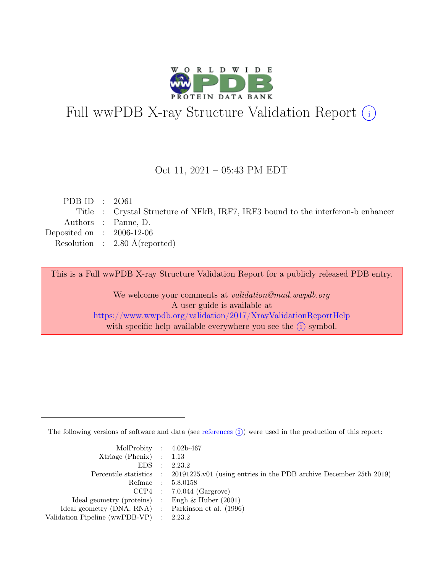

# Full wwPDB X-ray Structure Validation Report  $(i)$

#### Oct 11, 2021 – 05:43 PM EDT

| PDB ID : $2061$             |                                                                                  |
|-----------------------------|----------------------------------------------------------------------------------|
|                             | Title : Crystal Structure of NFkB, IRF7, IRF3 bound to the interferon-b enhancer |
|                             | Authors : Panne, D.                                                              |
| Deposited on : $2006-12-06$ |                                                                                  |
|                             | Resolution : $2.80 \text{ Å}$ (reported)                                         |
|                             |                                                                                  |

This is a Full wwPDB X-ray Structure Validation Report for a publicly released PDB entry.

We welcome your comments at validation@mail.wwpdb.org A user guide is available at <https://www.wwpdb.org/validation/2017/XrayValidationReportHelp> with specific help available everywhere you see the  $(i)$  symbol.

The following versions of software and data (see [references](https://www.wwpdb.org/validation/2017/XrayValidationReportHelp#references)  $(i)$ ) were used in the production of this report:

| MolProbity : $4.02b-467$                            |                                                                                            |
|-----------------------------------------------------|--------------------------------------------------------------------------------------------|
| $Xtriangle (Phenix)$ : 1.13                         |                                                                                            |
|                                                     | EDS : 2.23.2                                                                               |
|                                                     | Percentile statistics : 20191225.v01 (using entries in the PDB archive December 25th 2019) |
|                                                     | Refmac : 5.8.0158                                                                          |
|                                                     | $CCP4$ : 7.0.044 (Gargrove)                                                                |
| Ideal geometry (proteins) : Engh $\&$ Huber (2001)  |                                                                                            |
| Ideal geometry (DNA, RNA) : Parkinson et al. (1996) |                                                                                            |
| Validation Pipeline (wwPDB-VP) : 2.23.2             |                                                                                            |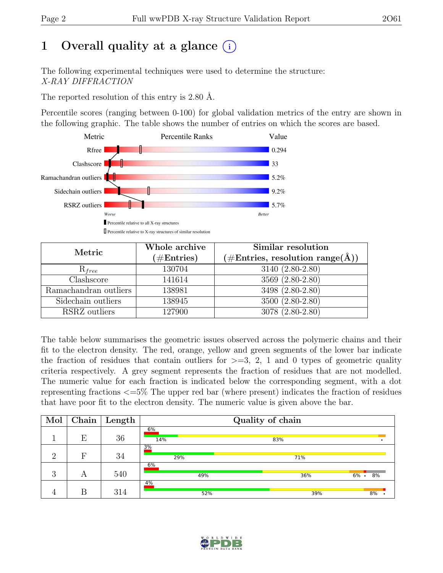# 1 Overall quality at a glance  $(i)$

The following experimental techniques were used to determine the structure: X-RAY DIFFRACTION

The reported resolution of this entry is 2.80 Å.

Percentile scores (ranging between 0-100) for global validation metrics of the entry are shown in the following graphic. The table shows the number of entries on which the scores are based.



| Metric                | Whole archive<br>$(\#\text{Entries})$ | Similar resolution<br>$(\# \text{Entries}, \text{resolution range}(\AA))$ |
|-----------------------|---------------------------------------|---------------------------------------------------------------------------|
| $R_{free}$            | 130704                                | 3140 (2.80-2.80)                                                          |
| Clashscore            | 141614                                | 3569 (2.80-2.80)                                                          |
| Ramachandran outliers | 138981                                | 3498 (2.80-2.80)                                                          |
| Sidechain outliers    | 138945                                | 3500 (2.80-2.80)                                                          |
| RSRZ outliers         | 127900                                | 3078 (2.80-2.80)                                                          |

The table below summarises the geometric issues observed across the polymeric chains and their fit to the electron density. The red, orange, yellow and green segments of the lower bar indicate the fraction of residues that contain outliers for  $\geq$ =3, 2, 1 and 0 types of geometric quality criteria respectively. A grey segment represents the fraction of residues that are not modelled. The numeric value for each fraction is indicated below the corresponding segment, with a dot representing fractions <=5% The upper red bar (where present) indicates the fraction of residues that have poor fit to the electron density. The numeric value is given above the bar.

| Mol | Chain | Length |           | Quality of chain |                       |
|-----|-------|--------|-----------|------------------|-----------------------|
|     | Ε     | 36     | 6%<br>14% | 83%              |                       |
| റ   | F     | 34     | 3%<br>29% | 71%              |                       |
| 3   | А     | 540    | 6%<br>49% | 36%              | 8%<br>6%<br>$\bullet$ |
|     | В     | 314    | 4%<br>52% | 39%              | 8%                    |

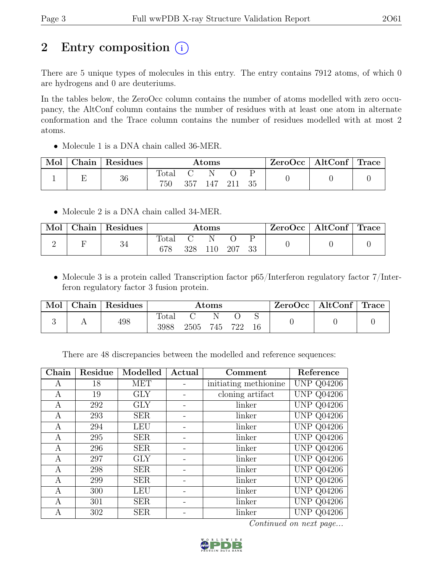# 2 Entry composition  $(i)$

There are 5 unique types of molecules in this entry. The entry contains 7912 atoms, of which 0 are hydrogens and 0 are deuteriums.

In the tables below, the ZeroOcc column contains the number of atoms modelled with zero occupancy, the AltConf column contains the number of residues with at least one atom in alternate conformation and the Trace column contains the number of residues modelled with at most 2 atoms.

• Molecule 1 is a DNA chain called 36-MER.

| Mol | ${\rm Chain}$ | Residues | $\rm{Atoms}$ |     |         |  |     | ZeroOcc | $\vert$ AltConf $\vert$ | $\perp$ Trace |
|-----|---------------|----------|--------------|-----|---------|--|-----|---------|-------------------------|---------------|
|     |               | 36       | Total<br>750 | 357 | 147 211 |  | -35 |         |                         |               |

• Molecule 2 is a DNA chain called 34-MER.

| Mol | Chain Residues | $\rm{Atoms}$ |     |     |     |  | $\mathsf{ZeroOcc} \mid \mathsf{AltConf} \mid \mathsf{Trace}$ |  |
|-----|----------------|--------------|-----|-----|-----|--|--------------------------------------------------------------|--|
|     | 34             | Total<br>678 | 328 | 110 | 207 |  |                                                              |  |

• Molecule 3 is a protein called Transcription factor  $p65/$ Interferon regulatory factor 7/Interferon regulatory factor 3 fusion protein.

| Mol | ${\rm Chain}$ | Residues | Atoms         |      |     |     | $\text{ZeroOcc}$   AltConf   Trace |  |  |
|-----|---------------|----------|---------------|------|-----|-----|------------------------------------|--|--|
|     |               | 498      | Total<br>3988 | 2505 | 745 | 722 | 16                                 |  |  |

There are 48 discrepancies between the modelled and reference sequences:

| ${\rm Chain}$ | Residue | Modelled   | Actual | Comment               | Reference         |
|---------------|---------|------------|--------|-----------------------|-------------------|
| А             | 18      | MET        |        | initiating methionine | <b>UNP Q04206</b> |
| А             | 19      | <b>GLY</b> |        | cloning artifact      | <b>UNP Q04206</b> |
| А             | 292     | <b>GLY</b> |        | linker                | <b>UNP Q04206</b> |
| A             | 293     | <b>SER</b> |        | linker                | <b>UNP Q04206</b> |
| А             | 294     | LEU        |        | linker                | <b>UNP Q04206</b> |
| А             | 295     | <b>SER</b> |        | linker                | <b>UNP Q04206</b> |
| A             | 296     | <b>SER</b> |        | linker                | <b>UNP Q04206</b> |
| А             | 297     | <b>GLY</b> |        | linker                | <b>UNP Q04206</b> |
| А             | 298     | <b>SER</b> |        | linker                | <b>UNP Q04206</b> |
| А             | 299     | <b>SER</b> |        | linker                | <b>UNP Q04206</b> |
| А             | 300     | LEU        |        | linker                | <b>UNP Q04206</b> |
| A             | 301     | <b>SER</b> |        | linker                | <b>UNP Q04206</b> |
| Α             | 302     | <b>SER</b> |        | linker                | UNP Q04206        |

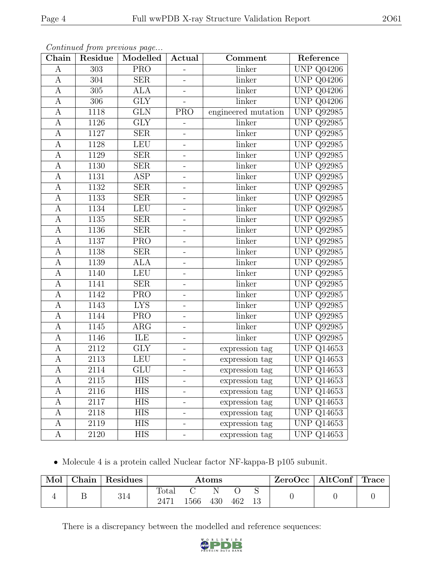| Chain            | Residue          | Modelled                | Actual                       | Comment             | Reference                      |
|------------------|------------------|-------------------------|------------------------------|---------------------|--------------------------------|
| А                | $\overline{303}$ | $\overline{\text{PRO}}$ | $\overline{\phantom{0}}$     | linker              | <b>UNP Q04206</b>              |
| A                | 304              | <b>SER</b>              | $\overline{\phantom{a}}$     | linker              | <b>UNP Q04206</b>              |
| A                | 305              | ALA                     |                              | linker              | <b>UNP Q04206</b>              |
| $\boldsymbol{A}$ | 306              | <b>GLY</b>              |                              | linker              | <b>UNP Q04206</b>              |
| A                | 1118             | $\overline{\text{GLN}}$ | <b>PRO</b>                   | engineered mutation | <b>UNP Q92985</b>              |
| A                | 1126             | <b>GLY</b>              | $\blacksquare$               | linker              | <b>UNP Q92985</b>              |
| A                | 1127             | <b>SER</b>              | $\overline{\phantom{0}}$     | linker              | <b>UNP Q92985</b>              |
| A                | 1128             | LEU                     | $\overline{a}$               | linker              | <b>UNP Q92985</b>              |
| A                | 1129             | <b>SER</b>              | $\overline{a}$               | linker              | <b>UNP Q92985</b>              |
| A                | 1130             | SER                     | $\overline{\phantom{a}}$     | linker              | <b>UNP Q92985</b>              |
| А                | 1131             | ASP                     | $\frac{1}{2}$                | linker              | <b>UNP Q92985</b>              |
| А                | 1132             | $\overline{\text{SER}}$ | $\overline{\phantom{0}}$     | linker              | <b>UNP Q92985</b>              |
| А                | 1133             | <b>SER</b>              | -                            | linker              | <b>UNP Q92985</b>              |
| А                | 1134             | <b>LEU</b>              | ÷                            | linker              | <b>UNP Q92985</b>              |
| $\boldsymbol{A}$ | 1135             | <b>SER</b>              | $\qquad \qquad \blacksquare$ | linker              | <b>UNP Q92985</b>              |
| $\mathbf{A}$     | 1136             | <b>SER</b>              | $\qquad \qquad -$            | linker              | <b>UNP Q92985</b>              |
| $\overline{A}$   | 1137             | <b>PRO</b>              | $\overline{\phantom{0}}$     | linker              | <b>UNP Q92985</b>              |
| $\mathbf{A}$     | 1138             | <b>SER</b>              | $\overline{a}$               | linker              | <b>UNP Q92985</b>              |
| $\boldsymbol{A}$ | 1139             | <b>ALA</b>              | $\overline{\phantom{0}}$     | linker              | <b>UNP Q92985</b>              |
| A                | 1140             | <b>LEU</b>              |                              | linker              | $\overline{\text{UNP}$ Q92985  |
| $\mathbf{A}$     | 1141             | <b>SER</b>              | $\overline{\phantom{0}}$     | linker              | <b>UNP Q92985</b>              |
| A                | 1142             | $\overline{\text{PRO}}$ | $\overline{\phantom{0}}$     | linker              | <b>UNP Q92985</b>              |
| A                | 1143             | <b>LYS</b>              | $\overline{a}$               | linker              | <b>UNP Q92985</b>              |
| A                | 1144             | $\overline{\text{PRO}}$ | $\overline{\phantom{0}}$     | linker              | <b>UNP Q92985</b>              |
| A                | 1145             | $\rm{ARG}$              | $\qquad \qquad -$            | linker              | <b>UNP Q92985</b>              |
| A                | 1146             | ILE                     | $\Box$                       | linker              | $\overline{\text{UNP}}$ Q92985 |
| A                | 2112             | <b>GLY</b>              | $\overline{\phantom{a}}$     | expression tag      | <b>UNP Q14653</b>              |
| A                | 2113             | LEU                     | $\overline{\phantom{0}}$     | expression tag      | <b>UNP Q14653</b>              |
| A                | 2114             | GLU                     | $\qquad \qquad -$            | expression tag      | <b>UNP Q14653</b>              |
| А                | 2115             | HIS                     |                              | expression tag      | <b>UNP Q14653</b>              |
| А                | 2116             | HIS                     |                              | expression tag      | <b>UNP Q14653</b>              |
| А                | 2117             | <b>HIS</b>              |                              | expression tag      | <b>UNP Q14653</b>              |
| A                | 2118             | <b>HIS</b>              | $\overline{\phantom{0}}$     | expression tag      | <b>UNP Q14653</b>              |
| A                | 2119             | <b>HIS</b>              | $\qquad \qquad -$            | expression tag      | <b>UNP Q14653</b>              |
| A                | 2120             | HIS                     |                              | expression tag      | <b>UNP Q14653</b>              |

Continued from previous page...

 $\bullet\,$  Molecule 4 is a protein called Nuclear factor NF-kappa-B p105 subunit.

| Mol | ${\rm Chain}$ | Residues | $\rm{Atoms}$ |      |     |     | ZeroOcc | $\vert$ AltConf $\vert$ Trace $\vert$ |  |  |
|-----|---------------|----------|--------------|------|-----|-----|---------|---------------------------------------|--|--|
|     |               | 314      | Total        | 1566 | 430 | 462 | 13      |                                       |  |  |

There is a discrepancy between the modelled and reference sequences:

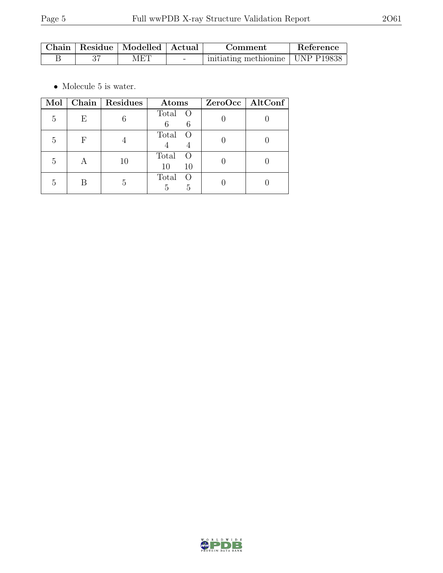|  | Chain   Residue   Modelled   Actual |        | Comment                            | Reference |  |
|--|-------------------------------------|--------|------------------------------------|-----------|--|
|  | MET                                 | $\sim$ | initiating methionine   UNP P19838 |           |  |

 $\bullet\,$  Molecule 5 is water.

| Mol |   | Chain   Residues | Atoms                                 | ZeroOcc   AltConf |
|-----|---|------------------|---------------------------------------|-------------------|
| 5   | Е |                  | Total O<br>6                          |                   |
| 5   |   |                  | Total O                               |                   |
| 5   |   | 10               | Total<br>$\left( \right)$<br>10<br>10 |                   |
| b.  |   | 5                | Total<br>$\left( \right)$<br>5        |                   |

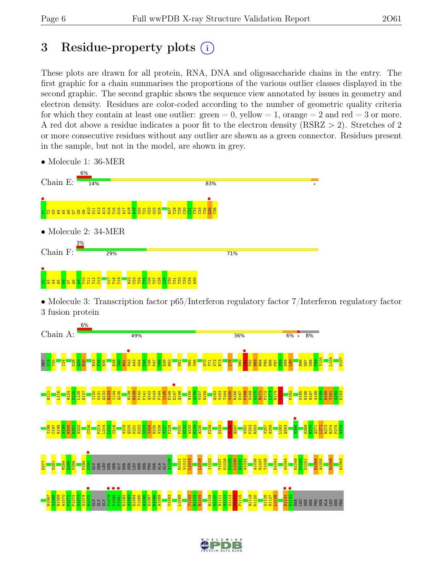# 3 Residue-property plots (i)

These plots are drawn for all protein, RNA, DNA and oligosaccharide chains in the entry. The first graphic for a chain summarises the proportions of the various outlier classes displayed in the second graphic. The second graphic shows the sequence view annotated by issues in geometry and electron density. Residues are color-coded according to the number of geometric quality criteria for which they contain at least one outlier:  $green = 0$ , yellow  $= 1$ , orange  $= 2$  and red  $= 3$  or more. A red dot above a residue indicates a poor fit to the electron density (RSRZ > 2). Stretches of 2 or more consecutive residues without any outlier are shown as a green connector. Residues present in the sample, but not in the model, are shown in grey.



• Molecule 1: 36-MER

• Molecule 3: Transcription factor p65/Interferon regulatory factor 7/Interferon regulatory factor 3 fusion protein



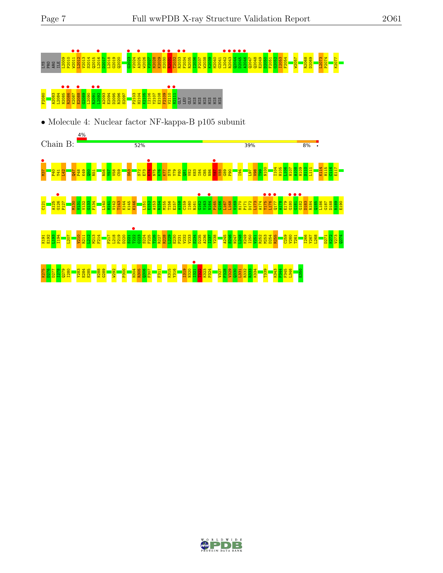# LYS PRO ARG ILE L2009 P2010 W2011 • L2012 • V2013 S2014 Q2015 L2016 • D2017 L2018 G2019 Q2020 G2023 • V2024 A2025 • W2026 V2027 N2028 K2029 S2030 • R2031 • T2032 R2033 • F2034 • R2035 I2036 P2037 W2038 K2039 H2040 G2041 L2042 • R2043 • Q2044 • D2045 • A2046 • Q2047 Q2048 E2049 D2050 F2051 • G2052 I2053 F2054 W2057 R2068 D2069 L2073 P2074 K2077 <mark>a 8 8 8 3 a 8 8 5 \_ 8 3 8 9</mark> 8 5 8 8 9 3 1<br>8 8 8 8 8 8 8 9 <sup>\_</sup> R2**10** R210 R210 R210 E210 H210 H210

• Molecule 4: Nuclear factor NF-kappa-B p105 subunit



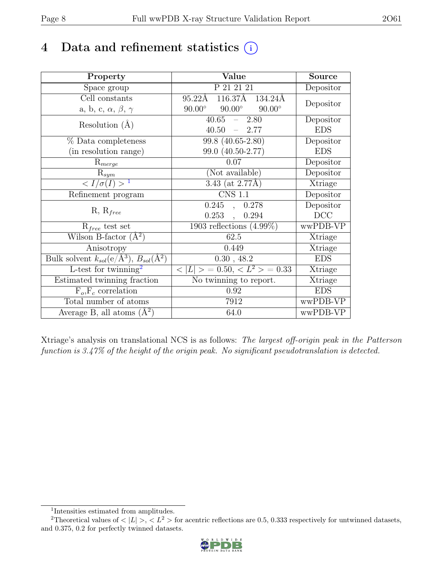# 4 Data and refinement statistics  $(i)$

| Property                                                             | Value                                                 | <b>Source</b>  |
|----------------------------------------------------------------------|-------------------------------------------------------|----------------|
| Space group                                                          | $P_2$ $\overline{21}$ $\overline{21}$ $\overline{21}$ | Depositor      |
| Cell constants                                                       | $116.37\text{\AA}$<br>95.22Å<br>134.24Å               | Depositor      |
| a, b, c, $\alpha$ , $\beta$ , $\gamma$                               | $90.00^\circ$<br>$90.00^\circ$<br>$90.00^\circ$       |                |
| Resolution $(A)$                                                     | 40.65<br>2.80<br>$\frac{1}{2}$                        | Depositor      |
|                                                                      | 40.50<br>$-2.77$                                      | <b>EDS</b>     |
| % Data completeness                                                  | 99.8 (40.65-2.80)                                     | Depositor      |
| (in resolution range)                                                | 99.0 (40.50-2.77)                                     | <b>EDS</b>     |
| $R_{merge}$                                                          | 0.07                                                  | Depositor      |
| $\mathrm{R}_{sym}$                                                   | (Not available)                                       | Depositor      |
| $\langle I/\sigma(I) \rangle^{-1}$                                   | $3.43$ (at 2.77Å)                                     | Xtriage        |
| Refinement program                                                   | <b>CNS 1.1</b>                                        | Depositor      |
|                                                                      | 0.245<br>, 0.278                                      | Depositor      |
| $R, R_{free}$                                                        | $0.253$ ,<br>0.294                                    | DCC            |
| $R_{free}$ test set                                                  | 1903 reflections $(4.99\%)$                           | wwPDB-VP       |
| Wilson B-factor $(A^2)$                                              | 62.5                                                  | Xtriage        |
| Anisotropy                                                           | 0.449                                                 | Xtriage        |
| Bulk solvent $k_{sol}(e/\mathring{A}^3)$ , $B_{sol}(\mathring{A}^2)$ | 0.30, 48.2                                            | <b>EDS</b>     |
| L-test for twinning <sup>2</sup>                                     | $< L >$ = 0.50, $< L^2 >$ = 0.33                      | <b>Xtriage</b> |
| Estimated twinning fraction                                          | No twinning to report.                                | Xtriage        |
| $F_o, F_c$ correlation                                               | 0.92                                                  | <b>EDS</b>     |
| Total number of atoms                                                | 7912                                                  | wwPDB-VP       |
| Average B, all atoms $(A^2)$                                         | 64.0                                                  | wwPDB-VP       |

Xtriage's analysis on translational NCS is as follows: The largest off-origin peak in the Patterson function is 3.47% of the height of the origin peak. No significant pseudotranslation is detected.

<sup>&</sup>lt;sup>2</sup>Theoretical values of  $\langle |L| \rangle$ ,  $\langle L^2 \rangle$  for acentric reflections are 0.5, 0.333 respectively for untwinned datasets, and 0.375, 0.2 for perfectly twinned datasets.



<span id="page-7-1"></span><span id="page-7-0"></span><sup>1</sup> Intensities estimated from amplitudes.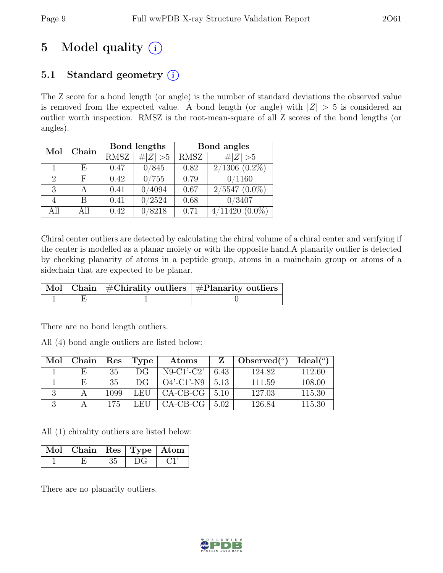# 5 Model quality  $(i)$

# 5.1 Standard geometry  $(i)$

The Z score for a bond length (or angle) is the number of standard deviations the observed value is removed from the expected value. A bond length (or angle) with  $|Z| > 5$  is considered an outlier worth inspection. RMSZ is the root-mean-square of all Z scores of the bond lengths (or angles).

| Mol | Chain | Bond lengths |             | Bond angles |                      |
|-----|-------|--------------|-------------|-------------|----------------------|
|     |       | <b>RMSZ</b>  | # $ Z  > 5$ | RMSZ        | $\ Z\  > 5$          |
|     | E     | 0.47         | 0/845       | 0.82        | $2/1306$ $(0.2\%)$   |
| 2   | F     | 0.42         | 0/755       | 0.79        | 0/1160               |
| 3   |       | 0.41         | 4094        | 0.67        | $2/5547(0.0\%)$      |
|     | В     | 0.41         | 0/2524      | 0.68        | 0/3407               |
| All | All   | 0.42         | 8218        | 0.71        | 4/11420<br>$(0.0\%)$ |

Chiral center outliers are detected by calculating the chiral volume of a chiral center and verifying if the center is modelled as a planar moiety or with the opposite hand.A planarity outlier is detected by checking planarity of atoms in a peptide group, atoms in a mainchain group or atoms of a sidechain that are expected to be planar.

|  | $\boxed{\text{Mol} \mid \text{Chain}}$ #Chirality outliers $\mid \text{\#Planarity outliers} \mid$ |
|--|----------------------------------------------------------------------------------------------------|
|  |                                                                                                    |

There are no bond length outliers.

All (4) bond angle outliers are listed below:

| Mol | Chain | $\operatorname{Res}% \left( \mathcal{N}\right) \equiv\operatorname{Res}(\mathcal{N}_{0},\mathcal{N}_{0})$ | 'Type | Atoms         |       | Observed $(^\circ)$ | $Ideal({}^o)$ |
|-----|-------|-----------------------------------------------------------------------------------------------------------|-------|---------------|-------|---------------------|---------------|
|     |       | 35                                                                                                        | DG    | $N9-C1'-C2'$  | 6.43  | 124.82              | 112.60        |
|     |       | 35                                                                                                        | DG    | $O4'$ -C1'-N9 | -5.13 | 111.59              | 108.00        |
|     |       | 1099                                                                                                      | LEU   | $CA-CB-CG$    | 5.10  | 127.03              | 115.30        |
|     |       | 175                                                                                                       | LEH   | CA-CB-CG      | 5.02  | 126.84              | 115.30        |

All (1) chirality outliers are listed below:

| $\vert$ Mol $\vert$ Chain $\vert$ Res $\vert$ Type $\vert$ Atom |  |  |
|-----------------------------------------------------------------|--|--|
|                                                                 |  |  |

There are no planarity outliers.

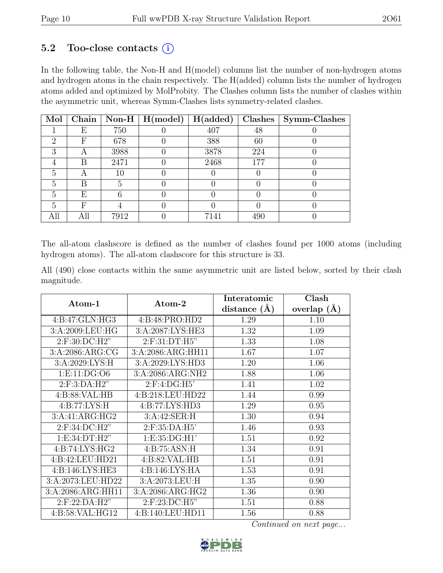## 5.2 Too-close contacts  $(i)$

In the following table, the Non-H and H(model) columns list the number of non-hydrogen atoms and hydrogen atoms in the chain respectively. The H(added) column lists the number of hydrogen atoms added and optimized by MolProbity. The Clashes column lists the number of clashes within the asymmetric unit, whereas Symm-Clashes lists symmetry-related clashes.

| Mol |     |      | Chain   Non-H   $H (model)$ | H(added) |     | Clashes   Symm-Clashes |
|-----|-----|------|-----------------------------|----------|-----|------------------------|
|     | E   | 750  |                             | 407      | 48  |                        |
| 2   | F   | 678  |                             | 388      | 60  |                        |
| 3   | Η   | 3988 |                             | 3878     | 224 |                        |
|     | В   | 2471 |                             | 2468     | 177 |                        |
| 5   | А   | 10   |                             |          |     |                        |
| 5   | R   |      |                             |          |     |                        |
| 5   | Ε   |      |                             |          |     |                        |
| 5   | F   |      |                             |          |     |                        |
|     | All | 7912 |                             | 7141     | 490 |                        |

The all-atom clashscore is defined as the number of clashes found per 1000 atoms (including hydrogen atoms). The all-atom clashscore for this structure is 33.

All (490) close contacts within the same asymmetric unit are listed below, sorted by their clash magnitude.

|                   |                   | Interatomic      | Clash         |
|-------------------|-------------------|------------------|---------------|
| Atom-1            | Atom-2            | distance $(\AA)$ | overlap $(A)$ |
| 4:B:47:GLN:HG3    | 4:B:48:PRO:HD2    | 1.29             | 1.10          |
| 3:A:2009:LEU:HG   | 3:A:2087:LYS:HE3  | 1.32             | 1.09          |
| 2:F:30:DC:H2"     | 2:F:31:DT:H5"     | 1.33             | 1.08          |
| 3:A:2086:ARG:CG   | 3:A:2086:ARG:HH11 | 1.67             | 1.07          |
| 3:A:2029:LYS:H    | 3:A:2029:LYS:HD3  | 1.20             | 1.06          |
| 1: E: 11: DG: O6  | 3:A:2086:ARG:NH2  | 1.88             | 1.06          |
| 2:F:3:DA:H2"      | 2:F:4:DG:H5'      | 1.41             | 1.02          |
| 4:B:88:VAL:HB     | 4:B:218:LEU:HD22  | 1.44             | 0.99          |
| 4: B:77: LYS:H    | 4: B:77: LYS: HD3 | 1.29             | 0.95          |
| 3:A:41:ARG:HG2    | 3: A:42: SER:H    | 1.30             | 0.94          |
| 2:F:34:DC:H2"     | 2:F:35:DA:H5'     | 1.46             | 0.93          |
| 1: E: 34: DT: H2" | 1: E: 35: DG: H1' | 1.51             | 0.92          |
| 4: B:74: LYS: HG2 | 4:B:75:ASN:H      | 1.34             | 0.91          |
| 4:B:42:LEU:HD21   | 4: B:82: VAL:HB   | 1.51             | 0.91          |
| 4:B:146:LYS:HE3   | 4:B:146:LYS:HA    | 1.53             | 0.91          |
| 3:A:2073:LEU:HD22 | 3:A:2073:LEU:H    | 1.35             | 0.90          |
| 3:A:2086:ARG:HH11 | 3:A:2086:ARG:HG2  | 1.36             | 0.90          |
| 2:F:22:DA:H2"     | 2: F:23: DC: H5"  | 1.51             | 0.88          |
| 4:B:58:VAL:HG12   | 4:B:140:LEU:HD11  | 1.56             | 0.88          |

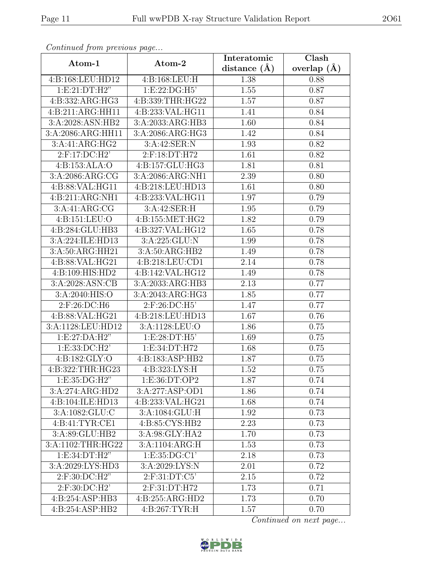| s sheehada ji sin proces as pagsin<br>Atom-1  | Atom-2            |                  | Clash           |
|-----------------------------------------------|-------------------|------------------|-----------------|
|                                               |                   | distance $(\AA)$ | overlap $(\AA)$ |
| 4:B:168:LEU:HD12                              | 4:B:168:LEU:H     | 1.38             | 0.88            |
| 1: E:21:DT:H2"                                | 1:E:22:DG:H5      | $1.55\,$         | 0.87            |
| 4:B:332:ARG:HG3                               | 4:B:339:THR:HG22  | 1.57             | 0.87            |
| 4:B:211:ARG:HH11                              | 4:B:233:VAL:HG11  | 1.41             | 0.84            |
| 3:A:2028:ASN:HB2                              | 3:A:2033:ARG:HB3  | 1.60             | 0.84            |
| 3:A:2086:ARG:HH11                             | 3:A:2086:ARG:HG3  | 1.42             | 0.84            |
| 3:A:41:ARG:HG2                                | 3: A:42: SER: N   | 1.93             | 0.82            |
| $2:$ F:17:DC:H2'                              | $2:$ F:18:DT:H72  | 1.61             | 0.82            |
| 4:B:153:ALA:O                                 | 4:B:157:GLU:HG3   | 1.81             | 0.81            |
| 3:A:2086:ARG:CG                               | 3:A:2086:ARG:NH1  | 2.39             | 0.80            |
| 4:B:88:VAL:HG11                               | 4:B:218:LEU:HD13  | 1.61             | 0.80            |
| 4: B:211: ARG:NH1                             | 4:B:233:VAL:HG11  | 1.97             | 0.79            |
| 3:A:41:ARG:CG                                 | 3: A:42: SER:H    | 1.95             | 0.79            |
| 4: B: 151: LEU: O                             | 4:B:155:MET:HG2   | 1.82             | 0.79            |
| 4:B:284:GLU:HB3                               | 4:B:327:VAL:HG12  | 1.65             | 0.78            |
| 3:A:224:ILE:HD13                              | 3:A:225:GLU:N     | 1.99             | 0.78            |
| 3:A:50:ARG:HH21                               | 3:A:50:ARG:HB2    | 1.49             | 0.78            |
| 4:B:88:VAL:HG21                               | 4:B:218:LEU:CD1   | 2.14             | 0.78            |
| $4:B:109: \overline{HIS:HD2}$                 | 4:B:142:VAL:HG12  | 1.49             | 0.78            |
| 3:A:2028:ASN:CB                               | 3:A:2033:ARG:HB3  | 2.13             | 0.77            |
| 3:A:2040:HIS:O                                | 3:A:2043:ARG:HG3  | 1.85             | 0.77            |
| 2:F:26:DC:H6                                  | 2:F:26:DC:H5'     | 1.47             | 0.77            |
| 4:B:88:VAL:HG21                               | 4:B:218:LEU:HD13  | 1.67             | 0.76            |
| 3:A:1128:LEU:HD12                             | 3:A:1128:LEU:O    | 1.86             | 0.75            |
| 1: E: 27: DA: H2"                             | 1: E: 28: DT: H5' | 1.69             | 0.75            |
| 1:E:33:DC:H2'                                 | 1:E:34:DT:H72     | 1.68             | 0.75            |
| 4: B: 182: GLY:O                              | 4:B:183:ASP:HB2   | 1.87             | 0.75            |
| 4:B:322:THR:HG23                              | 4:B:323:LYS:H     | 1.52             | 0.75            |
| 1:E:35:DG:H2"                                 | 1:E:36:DT:OP2     | 1.87             | 0.74            |
| 3:A:274:ARG:HD2                               | 3:A:277:ASP:OD1   | 1.86             | 0.74            |
| 4:B:104:ILE:HD13                              | 4:B:233:VAL:HG21  | 1.68             | 0.74            |
| 3:A:1082:GLU:C                                | 3:A:1084:GLU:H    | 1.92             | 0.73            |
| 4:B:41:TYR:CE1                                | 4: B:85: CYS:HB2  | 2.23             | 0.73            |
| 3:A:89:GLU:HB2                                | 3: A:98: GLY: HA2 | 1.70             | 0.73            |
| 3:A:1102:THR:HG22                             | 3:A:1104:ARG:H    | 1.53             | 0.73            |
| 1: E:34: DT:H2"                               | 1: E: 35: DG: CI' | 2.18             | 0.73            |
| 3:A:2029:LYS:HD3                              | 3:A:2029:LYS:N    | 2.01             | 0.72            |
| $2:$ F:30:D $\overline{\text{C:}\text{H2}}$ " | $2:$ F:31:DT:C5'  | 2.15             | 0.72            |
| $2:$ F:30:DC: $\overline{H2'}$                | 2:F:31:DT:H72     | 1.73             | 0.71            |
| 4:B:254:ASP:HB3                               | 4:B:255:ARG:HD2   | 1.73             | 0.70            |
| 4:B:254:ASP:HB2                               | 4:B:267:TYR:H     | 1.57             | 0.70            |

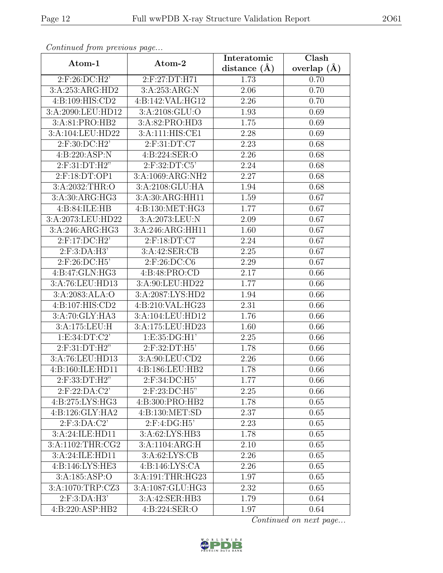|                    |                  | Interatomic    | Clash         |
|--------------------|------------------|----------------|---------------|
| Atom-1             | Atom-2           | distance $(A)$ | overlap $(A)$ |
| 2:F:26:DC:H2'      | 2:F:27:DT:H71    | 1.73           | 0.70          |
| 3:A:253:ARG:HD2    | 3:A:253:ARG:N    | 2.06           | 0.70          |
| 4:B:109:HIS:CD2    | 4:B:142:VAL:HG12 | 2.26           | 0.70          |
| 3:A:2090:LEU:HD12  | 3:A:2108:GLU:O   | 1.93           | 0.69          |
| 3:A:81:PRO:HB2     | 3:A:82:PRO:HD3   | 1.75           | 0.69          |
| 3:A:104:LEU:HD22   | 3:A:111:HIS:CE1  | 2.28           | 0.69          |
| 2:F:30:DC:H2'      | 2:F:31:DT:C7     | 2.23           | 0.68          |
| 4:B:220:ASP:N      | 4:B:224:SER:O    | 2.26           | 0.68          |
| 2: F:31:DT:H2"     | $2:$ F:32:DT:C5' | 2.24           | 0.68          |
| 2:F:18:DT:OP1      | 3:A:1069:ARG:NH2 | 2.27           | 0.68          |
| 3:A:2032:THR:O     | 3:A:2108:GLU:HA  | 1.94           | 0.68          |
| 3:A:30:ARG:HG3     | 3:A:30:ARG:HH11  | 1.59           | 0.67          |
| 4:B:84:ILE:HB      | 4:B:130:MET:HG3  | 1.77           | 0.67          |
| 3:A:2073:LEU:HD22  | 3:A:2073:LEU:N   | 2.09           | 0.67          |
| 3:A:246:ARG:HG3    | 3:A:246:ARG:HH11 | 1.60           | 0.67          |
| $2:$ F:17:DC:H2'   | $2:$ F:18:DT:C7  | 2.24           | 0.67          |
| $2:$ F:3:DA:H3'    | 3: A:42: SER: CB | 2.25           | 0.67          |
| 2:F:26:DC:H5'      | 2:F:26:DC:C6     | 2.29           | 0.67          |
| 4:B:47:GLN:HG3     | 4:B:48:PRO:CD    | 2.17           | 0.66          |
| 3:A:76:LEU:HD13    | 3:A:90:LEU:HD22  | 1.77           | 0.66          |
| 3:A:2083:ALA:O     | 3:A:2087:LYS:HD2 | 1.94           | 0.66          |
| 4:B:107:HIS:CD2    | 4:B:210:VAL:HG23 | 2.31           | 0.66          |
| 3:A:70:GLY:HA3     | 3:A:104:LEU:HD12 | 1.76           | 0.66          |
| 3:A:175:LEU:H      | 3:A:175:LEU:HD23 | 1.60           | 0.66          |
| 1: E:34: DT: C2'   | 1: E: 35: DG:H1' | 2.25           | 0.66          |
| $2:$ F:31:DT:H2"   | 2:F:32:DT:H5'    | 1.78           | 0.66          |
| 3:A:76:LEU:HD13    | 3: A:90: LEU:CD2 | 2.26           | 0.66          |
| 4:B:160:ILE:HD11   | 4:B:186:LEU:HB2  | 1.78           | 0.66          |
| 2:F:33:DT:H2"      | $2:$ F:34:DC:H5' | 1.77           | 0.66          |
| 2: F:22:DA:C2'     | 2:F:23:DC:H5"    | 2.25           | 0.66          |
| 4:B:275:LYS:HG3    | 4:B:300:PRO:HB2  | 1.78           | 0.65          |
| 4:B:126:GLY:HA2    | 4:B:130:MET:SD   | 2.37           | 0.65          |
| 2: F:3:DA:C2'      | $2:$ F:4:DG:H5'  | 2.23           | 0.65          |
| 3:A:24:ILE:HD11    | 3:A:62:LYS:HB3   | 1.78           | 0.65          |
| 3:A:1102:THR:CG2   | 3:A:1104:ARG:H   | 2.10           | 0.65          |
| $3:$ A:24:ILE:HD11 | 3: A:62: LYS: CB | 2.26           | 0.65          |
| 4:B:146:LYS:HE3    | 4:B:146:LYS:CA   | 2.26           | 0.65          |
| 3:A:185:ASP:O      | 3:A:191:THR:HG23 | 1.97           | 0.65          |
| 3:A:1070:TRP:CZ3   | 3:A:1087:GLU:HG3 | 2.32           | 0.65          |
| 2:F:3:DA:H3'       | 3:A:42:SER:HB3   | 1.79           | 0.64          |
| 4:B:220:ASP:HB2    | 4:B:224:SER:O    | 1.97           | 0.64          |

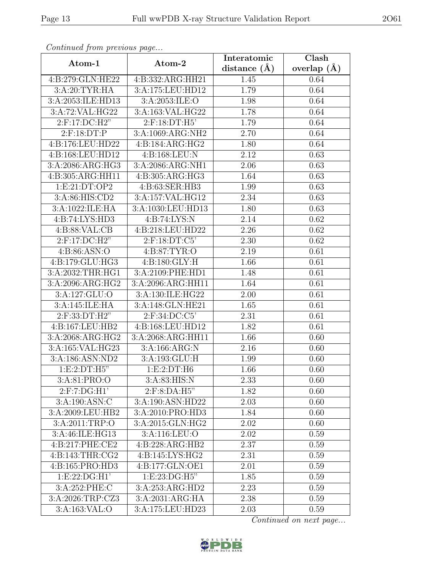| Atom-1                                        | Atom-2              | Interatomic       | Clash         |
|-----------------------------------------------|---------------------|-------------------|---------------|
|                                               |                     | distance $(\AA)$  | overlap $(A)$ |
| 4:B:279:GLN:HE22                              | 4:B:332:ARG:HH21    | 1.45              | 0.64          |
| 3:A:20:TYR:HA                                 | 3:A:175:LEU:HD12    | 1.79              | 0.64          |
| 3:A:2053:ILE:HD13                             | 3:A:2053:ILE:O      | 1.98              | 0.64          |
| 3:A:72:VAL:HG22                               | 3:A:163:VAL:HG22    | 1.78              | 0.64          |
| 2:F:17:DC:H2"                                 | 2:F:18:DT:H5'       | 1.79              | 0.64          |
| $2:$ F:18:DT:P                                | 3:A:1069:ARG:NH2    | 2.70              | 0.64          |
| 4:B:176:LEU:HD22                              | 4:B:184:ARG:HG2     | 1.80              | 0.64          |
| 4:B:168:LEU:HD12                              | 4: B: 168: LEU: N   | 2.12              | 0.63          |
| 3:A:2086:ARG:HG3                              | 3:A:2086:ARG:NH1    | 2.06              | 0.63          |
| 4:B:305:ARG:HH11                              | 4:B:305:ARG:HG3     | 1.64              | 0.63          |
| 1: E: 21: DT: OP2                             | 4:B:63:SER:HB3      | 1.99              | 0.63          |
| 3:A:86:HIS:CD2                                | 3:A:157:VAL:HG12    | 2.34              | 0.63          |
| 3:A:1022:ILE:HA                               | 3:A:1030:LEU:HD13   | 1.80              | 0.63          |
| 4:B:74:LYS:HD3                                | 4:B:74:LYS:N        | 2.14              | 0.62          |
| 4: B:88: VAL:CB                               | 4:B:218:LEU:HD22    | 2.26              | 0.62          |
| $2:$ F:17:D $\overline{\text{C:}\text{H2}}$ " | $2:$ F:18:DT:C5'    | $\overline{2.30}$ | 0.62          |
| 4: B:86: ASN:O                                | 4:B:87:TYR:O        | 2.19              | 0.61          |
| 4:B:179:GLU:HG3                               | 4:B:180:GLY:H       | 1.66              | 0.61          |
| 3:A:2032:THR:HG1                              | 3:A:2109:PHE:HD1    | 1.48              | 0.61          |
| 3:A:2096:ARG:HG2                              | 3:A:2096:ARG:HH11   | 1.64              | 0.61          |
| 3:A:127:GLU:O                                 | 3:A:130:ILE:HG22    | 2.00              | 0.61          |
| 3:A:145:ILE:HA                                | 3:A:148:GLN:HE21    | 1.65              | 0.61          |
| 2:F:33:DT:H2"                                 | $2:$ F:34:DC:C5'    | 2.31              | 0.61          |
| 4:B:167:LEU:HB2                               | 4:B:168:LEU:HD12    | 1.82              | 0.61          |
| 3:A:2068:ARG:HG2                              | 3:A:2068:ARG:HH11   | 1.66              | 0.60          |
| 3:A:165:VAL:HG23                              | 3:A:166:ARG:N       | 2.16              | 0.60          |
| 3:A:186:ASN:ND2                               | 3:A:193:GLU:H       | 1.99              | 0.60          |
| 1:E:2:DT:H5"                                  | 1:E:2:DT:H6         | 1.66              | 0.60          |
| 3:A:81:PRO:O                                  | 3:A:83:HIS:N        | 2.33              | 0.60          |
| 2: F: 7: DG:H1'                               | $2:$ F:8:DA:H5"     | 1.82              | 0.60          |
| 3:A:190:ASN:C                                 | 3:A:190:ASN:HD22    | 2.03              | 0.60          |
| 3:A:2009:LEU:HB2                              | 3:A:2010:PRO:HD3    | 1.84              | 0.60          |
| 3:A:2011:TRP:O                                | 3:A:2015:GLN:HG2    | 2.02              | 0.60          |
| 3:A:46:ILE:HG13                               | 3:A:116:LEU:O       | 2.02              | 0.59          |
| 4:B:217:PHE:CE2                               | 4:B:228:ARG:HB2     | 2.37              | 0.59          |
| 4:B:143:THR:CG2                               | 4: B: 145: LYS: HG2 | 2.31              | 0.59          |
| 4:B:165:PRO:HD3                               | 4:B:177:GLN:OE1     | 2.01              | 0.59          |
| 1: E: 22: DG: H1'                             | 1:E:23:DG:H5"       | 1.85              | 0.59          |
| 3:A:252:PHE:C                                 | 3:A:253:ARG:HD2     | 2.23              | 0.59          |
| 3:A:2026:TRP:CZ3                              | 3:A:2031:ARG:HA     | 2.38              | 0.59          |
| 3:A:163:VAL:O                                 | 3:A:175:LEU:HD23    | 2.03              | 0.59          |

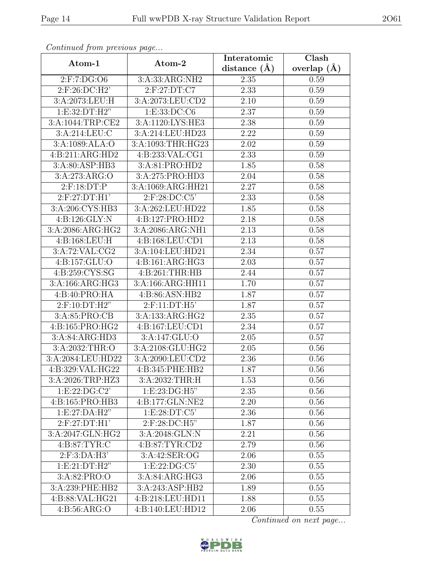| Atom-1                                       | Atom-2                               | Interatomic    | Clash         |
|----------------------------------------------|--------------------------------------|----------------|---------------|
|                                              |                                      | distance $(A)$ | overlap $(A)$ |
| $2:$ F:7:DG:O6                               | 3:A:33:ARG:NH2                       | $2.35\,$       | 0.59          |
| $2:$ F:26:DC:H2'                             | $2:$ F:27:DT:C7                      | 2.33           | 0.59          |
| 3:A:2073:LEU:H                               | 3:A:2073:LEU:CD2                     | 2.10           | 0.59          |
| 1:E:32:DT:H2"                                | 1:E:33:DC:C6                         | 2.37           | 0.59          |
| 3:A:1044:TRP:CE2                             | 3:A:1120:LYS:HE3                     | 2.38           | 0.59          |
| 3:A:214:LEU:C                                | 3:A:214:LEU:HD23                     | 2.22           | 0.59          |
| 3:A:1089:ALA:O                               | 3:A:1093:THR:HG23                    | 2.02           | 0.59          |
| 4:B:211:ARG:HD2                              | 4: B: 233: VAL: CG1                  | 2.33           | 0.59          |
| 3:A:80:ASP:HB3                               | 3:A:81:PRO:HD2                       | 1.85           | 0.58          |
| 3: A:273: ARG:O                              | 3:A:275:PRO:HD3                      | 2.04           | 0.58          |
| $2:$ F:18:DT:P                               | 3:A:1069:ARG:HH21                    | 2.27           | 0.58          |
| 2: F:27: DT:H1'                              | $2:$ F:28:DC: $\overline{\text{C5}}$ | 2.33           | 0.58          |
| 3:A:206:CYS:HB3                              | 3:A:262:LEU:HD22                     | 1.85           | 0.58          |
| 4: B: 126: GLY:N                             | 4:B:127:PRO:HD2                      | 2.18           | 0.58          |
| 3:A:2086:ARG:HG2                             | 3:A:2086:ARG:NH1                     | 2.13           | 0.58          |
| 4:B:168:LEU:H                                | 4:B:168:LEU:CD1                      | 2.13           | 0.58          |
| 3:A:72:VAL:CG2                               | 3:A:104:LEU:HD21                     | 2.34           | 0.57          |
| 4:B:157:GLU:O                                | 4:B:161:ARG:HG3                      | 2.03           | 0.57          |
| $4: B:259: \overline{\text{CYS}: \text{SG}}$ | 4:B:261:THR:HB                       | 2.44           | 0.57          |
| 3:A:166:ARG:HG3                              | 3:A:166:ARG:HH11                     | 1.70           | 0.57          |
| 4:B:40:PRO:HA                                | 4:B:86:ASN:HB2                       | 1.87           | 0.57          |
| $2:$ F:10:DT:H2"                             | $2:$ F:11:DT:H5'                     | 1.87           | 0.57          |
| 3:A:85:PRO:CB                                | 3:A:133:ARG:HG2                      | 2.35           | 0.57          |
| 4:B:165:PRO:HG2                              | 4:B:167:LEU:CD1                      | 2.34           | 0.57          |
| 3: A: 84: ARG: HD3                           | 3:A:147:GLU:O                        | 2.05           | 0.57          |
| 3:A:2032:THR:O                               | 3:A:2108:GLU:HG2                     | 2.05           | 0.56          |
| 3:A:2084:LEU:HD22                            | 3:A:2090:LEU:CD2                     | 2.36           | 0.56          |
| 4:B:329:VAL:HG22                             | 4:B:345:PHE:HB2                      | 1.87           | 0.56          |
| 3:A:2026:TRP:HZ3                             | 3:A:2032:THR:H                       | 1.53           | 0.56          |
| 1: E: 22: DG: C2'                            | 1: E: 23: DG: H5"                    | 2.35           | 0.56          |
| 4:B:165:PRO:HB3                              | 4:B:177:GLN:NE2                      | 2.20           | 0.56          |
| 1: E: 27: DA: H2"                            | 1: E: 28: DT: C5'                    | 2.36           | 0.56          |
| $2:$ F:27:DT:H1'                             | $2:$ F:28:DC:H5"                     | 1.87           | 0.56          |
| 3:A:2047:GLN:HG2                             | 3: A:2048: GLN:N                     | 2.21           | 0.56          |
| 4:B:87:TYR:C                                 | 4:B:87:TYR:CD2                       | 2.79           | 0.56          |
| $2:$ F:3:DA:H3'                              | 3: A:42: SER:OG                      | 2.06           | 0.55          |
| 1: E:21: DT:H2"                              | 1: E: 22: DG: C5'                    | 2.30           | 0.55          |
| 3:A:82:PRO:O                                 | 3:A:84:ARG:HG3                       | 2.06           | 0.55          |
| 3:A:239:PHE:HB2                              | 3:A:243:ASP:HB2                      | 1.89           | 0.55          |
| 4:B:88:VAL:HG21                              | 4:B:218:LEU:HD11                     | 1.88           | 0.55          |
| 4:B:56:ARG:O                                 | 4:B:140:LEU:HD12                     | 2.06           | 0.55          |

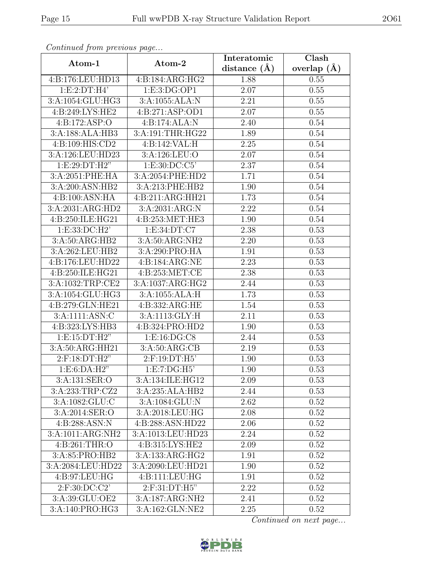| soniched from procedus page<br>Atom-1 | Atom-2            | Interatomic    | $\overline{\text{Clash}}$ |
|---------------------------------------|-------------------|----------------|---------------------------|
|                                       |                   | distance $(A)$ | overlap $(\AA)$           |
| 4:B:176:LEU:HD13                      | 4:B:184:ARG:HG2   | 1.88           | 0.55                      |
| 1: E: 2: DT: H4'                      | 1:E:3:DG:OP1      | 2.07           | 0.55                      |
| 3:A:1054:GLU:HG3                      | 3:A:1055:ALA:N    | 2.21           | 0.55                      |
| 4:B:249:LYS:HE2                       | 4:B:271:ASP:OD1   | 2.07           | 0.55                      |
| 4:B:172:ASP:O                         | 4:B:174:ALA:N     | 2.40           | $0.54\,$                  |
| 3:A:188:ALA:HB3                       | 3:A:191:THR:HG22  | 1.89           | 0.54                      |
| 4:B:109:HIS:CD2                       | 4:B:142:VAL:H     | 2.25           | 0.54                      |
| 3:A:126:LEU:HD23                      | 3:A:126:LEU:O     | 2.07           | 0.54                      |
| 1: E:29: DT:H2"                       | 1: E: 30: DC: C5' | 2.37           | 0.54                      |
| 3:A:2051:PHE:HA                       | 3:A:2054:PHE:HD2  | 1.71           | 0.54                      |
| 3:A:200:ASN:HB2                       | 3:A:213:PHE:HB2   | 1.90           | 0.54                      |
| 4:B:100:ASN:HA                        | 4:B:211:ARG:HH21  | 1.73           | 0.54                      |
| 3:A:2031:ARG:HD2                      | 3:A:2031:ARG:N    | 2.22           | 0.54                      |
| 4:B:250:ILE:HG21                      | 4:B:253:MET:HE3   | 1.90           | 0.54                      |
| 1: E: 33: DC: H2'                     | 1:E:34:DT:C7      | 2.38           | 0.53                      |
| 3: A:50: ARG: HB2                     | 3:A:50:ARG:NH2    | 2.20           | 0.53                      |
| 3:A:262:LEU:HB2                       | 3:A:290:PRO:HA    | 1.91           | 0.53                      |
| 4:B:176:LEU:HD22                      | 4:B:184:ARG:NE    | 2.23           | 0.53                      |
| 4:B:250:ILE:HG21                      | 4:B:253:MET:CE    | 2.38           | 0.53                      |
| 3:A:1032:TRP:CE2                      | 3:A:1037:ARG:HG2  | 2.44           | 0.53                      |
| 3:A:1054:GLU:HG3                      | 3:A:1055:ALA:H    | 1.73           | 0.53                      |
| 4:B:279:GLN:HE21                      | 4:B:332:ARG:HE    | 1.54           | 0.53                      |
| 3:A:1111:ASN:C                        | 3:A:1113:GLY:HI   | 2.11           | 0.53                      |
| 4:B:323:LYS:HB3                       | 4:B:324:PRO:HD2   | 1.90           | 0.53                      |
| 1:E:15:DT:H2"                         | 1:E:16:DG:C8      | 2.44           | 0.53                      |
| 3:A:50:ARG:HH21                       | 3: A:50: ARG:CB   | 2.19           | $0.5\overline{3}$         |
| $2:$ F:18:DT:H2"                      | 2:F:19:DT:H5'     | 1.90           | 0.53                      |
| 1:E:6:DA:H2"                          | 1:E:7:DG:H5       | 1.90           | 0.53                      |
| 3:A:131:SER:O                         | 3:A:134:ILE:HG12  | 2.09           | 0.53                      |
| 3:A:233:TRP:CZ2                       | 3:A:235:ALA:HB2   | 2.44           | 0.53                      |
| $3:A:1082:GL\overline{U:C}$           | 3:A:1084:GLU:N    | 2.62           | 0.52                      |
| 3:A:2014:SER:O                        | 3:A:2018:LEU:HG   | 2.08           | 0.52                      |
| 4:B:288:ASN:N                         | 4:B:288:ASN:HD22  | 2.06           | 0.52                      |
| 3:A:1011:ARG:NH2                      | 3:A:1013:LEU:HD23 | 2.24           | 0.52                      |
| 4:B:261:THR:O                         | 4:B:315:LYS:HE2   | 2.09           | 0.52                      |
| 3:A:85:PRO:HB2                        | 3:A:133:ARG:HG2   | 1.91           | 0.52                      |
| 3:A:2084:LEU:HD22                     | 3:A:2090:LEU:HD21 | 1.90           | 0.52                      |
| 4:B:97:LEU:HG                         | 4:B:111:LEU:HG    | 1.91           | 0.52                      |
| $2:$ F:30:DC:C2'                      | 2:F:31:DT:H5"     | 2.22           | 0.52                      |
| 3:A:39:GLU:OE2                        | 3:A:187:ARG:NH2   | 2.41           | 0.52                      |
| 3:A:140:PRO:HG3                       | 3:A:162:GLN:NE2   | 2.25           | 0.52                      |

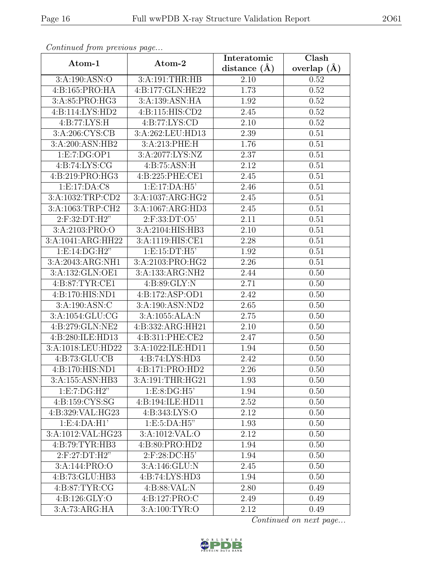| $\mathcal{F}$ , $\mathcal{F}$ , $\mathcal{F}$ , $\mathcal{F}$<br>Atom-1 | $\mathbf{r} \cdot \mathbf{v}$<br>Atom-2 | Interatomic      | Clash         |
|-------------------------------------------------------------------------|-----------------------------------------|------------------|---------------|
|                                                                         |                                         | distance $(\AA)$ | overlap $(A)$ |
| 3:A:190:ASN:O                                                           | 3:A:191:THR:HB                          | 2.10             | 0.52          |
| 4: B: 165: PRO: HA                                                      | 4:B:177:GLN:HE22                        | 1.73             | 0.52          |
| 3:A:85:PRO:HG3                                                          | 3:A:139:ASN:HA                          | 1.92             | 0.52          |
| 4: B: 114: LYS: HD2                                                     | 4:B:115:HIS:CD2                         | 2.45             | 0.52          |
| 4:B:77:LYS:H                                                            | 4: B:77: LYS: CD                        | 2.10             | 0.52          |
| 3:A:206:CYS:CB                                                          | 3:A:262:LEU:HD13                        | 2.39             | 0.51          |
| $3:A:200:AS\overline{N:HB2}$                                            | 3:A:213:PHE:H                           | 1.76             | 0.51          |
| 1:E:7:DG:OP1                                                            | 3:A:2077:LYS:NZ                         | 2.37             | 0.51          |
| 4: B:74: LYS: CG                                                        | 4: B:75: ASN:H                          | 2.12             | 0.51          |
| 4:B:219:PRO:HG3                                                         | 4:B:225:PHE:CE1                         | 2.45             | 0.51          |
| 1:E:17:DA:C8                                                            | 1: E: 17:DA: H5'                        | 2.46             | 0.51          |
| 3:A:1032:TRP:CD2                                                        | 3:A:1037:ARG:HG2                        | 2.45             | 0.51          |
| 3:A:1063:TRP:CH2                                                        | 3:A:1067:ARG:HD3                        | 2.45             | 0.51          |
| $2:$ F:32:DT:H2"                                                        | 2:F:33:DT:O5'                           | 2.11             | 0.51          |
| 3:A:2103:PRO:O                                                          | 3:A:2104:HIS:HB3                        | 2.10             | 0.51          |
| 3:A:1041:ARG:HH22                                                       | 3:A:1119:HIS:CE1                        | 2.28             | 0.51          |
| 1: E: 14: DG: H2"                                                       | 1:E:15:DT:H5'                           | 1.92             | 0.51          |
| 3:A:2043:ARG:NH1                                                        | 3:A:2103:PRO:HG2                        | 2.26             | 0.51          |
| 3:A:132:GLN:OE1                                                         | 3:A:133:ARG:NH2                         | 2.44             | 0.50          |
| 4:B:87:TYR:CE1                                                          | 4:B:89:GLY:N                            | 2.71             | 0.50          |
| 4:B:170:HIS:ND1                                                         | 4:B:172:ASP:OD1                         | 2.42             | 0.50          |
| 3:A:190:ASN:C                                                           | 3:A:190:ASN:ND2                         | 2.65             | 0.50          |
| 3:A:1054:GLU:CG                                                         | 3:A:1055:ALA:N                          | 2.75             | 0.50          |
| 4:B:279:GLN:NE2                                                         | 4:B:332:ARG:HH21                        | 2.10             | 0.50          |
| 4:B:280:ILE:HD13                                                        | 4: B:311: PHE:CE2                       | 2.47             | 0.50          |
| 3:A:1018:LEU:HD22                                                       | 3:A:1022:ILE:HD11                       | 1.94             | 0.50          |
| 4:B:73:GLU:CB                                                           | 4:B:74:LYS:HD3                          | 2.42             | 0.50          |
| 4:B:170:HIS:ND1                                                         | 4:B:171:PRO:HD2                         | 2.26             | 0.50          |
| 3:A:155:ASN:HB3                                                         | 3:A:191:THR:HG21                        | 1.93             | 0.50          |
| 1: E: 7: DG: H2"                                                        | 1: E: 8: DG:H5'                         | 1.94             | 0.50          |
| 4:B:159:CYS:SG                                                          | 4:B:194:ILE:HD11                        | 2.52             | 0.50          |
| 4:B:329:VAL:HG23                                                        | 4: B: 343: LYS: O                       | 2.12             | 0.50          |
| 1: E: 4:DA: H1'                                                         | 1: E: 5: DA: H5"                        | 1.93             | 0.50          |
| 3:A:1012:VAL:HG23                                                       | 3:A:1012:VAL:O                          | 2.12             | 0.50          |
| 4:B:79:TYR:HB3                                                          | 4:B:80:PRO:HD2                          | 1.94             | 0.50          |
| $2:$ F:27:DT:H2"                                                        | $2:$ F:28:DC:H5'                        | 1.94             | 0.50          |
| 3: A:144: PRO:O                                                         | 3:A:146:GLU:N                           | 2.45             | 0.50          |
| 4:B:73:GLU:HB3                                                          | 4:B:74:LYS:HD3                          | 1.94             | 0.50          |
| 4:B:87:TYR:CG                                                           | 4:B:88:VAL:N                            | 2.80             | 0.49          |
| 4: B: 126: GLY:O                                                        | 4:B:127:PRO:C                           | 2.49             | 0.49          |
| 3:A:73:ARG:HA                                                           | 3:A:100:TYR:O                           | 2.12             | 0.49          |

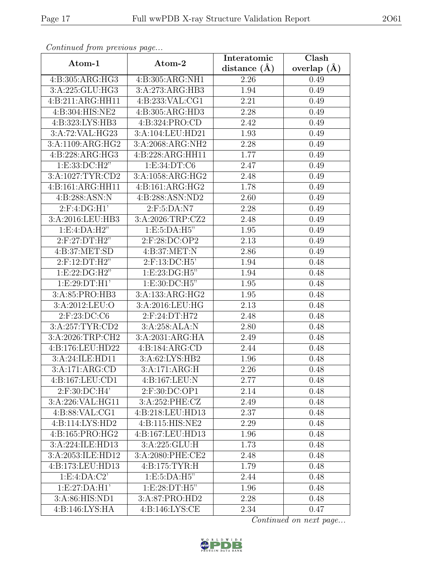| $P$ . The set of $P$ is a set of $P$ and $P$ is a set of $P$ is a set of $P$ is a set of $P$ is a set of $P$ is a set of $P$ is a set of $P$ is a set of $P$ is a set of $P$ is a set of $P$ is a set of $P$ is a set of $P$ | Atom-2             | Interatomic       | <b>Clash</b>    |
|------------------------------------------------------------------------------------------------------------------------------------------------------------------------------------------------------------------------------|--------------------|-------------------|-----------------|
| Atom-1                                                                                                                                                                                                                       |                    | distance $(\AA)$  | overlap $(\AA)$ |
| 4:B:305:ARG:HG3                                                                                                                                                                                                              | 4:B:305:ARG:NH1    | 2.26              | 0.49            |
| 3:A:225:GLU:HG3                                                                                                                                                                                                              | 3:A:273:ARG:HB3    | $\overline{1.94}$ | 0.49            |
| 4:B:211:ARG:HH11                                                                                                                                                                                                             | 4:B:233:VAL:CG1    | 2.21              | 0.49            |
| 4:B:304:HIS:NE2                                                                                                                                                                                                              | 4:B:305:ARG:HD3    | 2.28              | 0.49            |
| 4:B:323:LYS:HB3                                                                                                                                                                                                              | 4:B:324:PRO:CD     | 2.42              | 0.49            |
| 3:A:72:VAL:HG23                                                                                                                                                                                                              | 3:A:104:LEU:HD21   | 1.93              | 0.49            |
| 3:A:1109:ARG:HG2                                                                                                                                                                                                             | 3:A:2068:ARG:NH2   | 2.28              | 0.49            |
| 4: B:228: ARG: HG3                                                                                                                                                                                                           | 4:B:228:ARG:HH11   | 1.77              | 0.49            |
| $1: E: 33: DC: \overline{H2"}$                                                                                                                                                                                               | 1: E: 34: DT: C6   | 2.47              | 0.49            |
| 3:A:1027:TYR:CD2                                                                                                                                                                                                             | 3:A:1058:ARG:HG2   | 2.48              | 0.49            |
| 4:B:161:ARG:HH11                                                                                                                                                                                                             | 4: B:161: ARG:HG2  | 1.78              | 0.49            |
| 4:B:288:ASN:N                                                                                                                                                                                                                | 4:B:288:ASN:ND2    | 2.60              | 0.49            |
| 2: F:4: DG:H1'                                                                                                                                                                                                               | 2: F: 5: DA: N7    | 2.28              | 0.49            |
| 3:A:2016:LEU:HB3                                                                                                                                                                                                             | 3: A:2026:TRP:CZ2  | 2.48              | 0.49            |
| 1:E:4:DA:H2"                                                                                                                                                                                                                 | 1: E: 5: DA: H5"   | 1.95              | 0.49            |
| $2:$ F:27:DT:H2"                                                                                                                                                                                                             | $2:$ F:28:DC:OP2   | $\overline{2.13}$ | 0.49            |
| 4:B:37:MET:SD                                                                                                                                                                                                                | 4: B:37: MET: N    | 2.86              | 0.49            |
| 2:F:12:DT:H2"                                                                                                                                                                                                                | 2:F:13:DC:H5'      | 1.94              | 0.48            |
| 1:E:22:DG:H2"                                                                                                                                                                                                                | 1:E:23:DG:H5"      | 1.94              | 0.48            |
| 1: E:29:DT:H1'                                                                                                                                                                                                               | 1:E:30:DC:H5"      | 1.95              | 0.48            |
| 3:A:85:PRO:HB3                                                                                                                                                                                                               | 3:A:133:ARG:HG2    | 1.95              | 0.48            |
| 3:A:2012:LEU:O                                                                                                                                                                                                               | 3:A:2016:LEU:HG    | 2.13              | 0.48            |
| 2:F:23:DC:C6                                                                                                                                                                                                                 | 2:F:24:DT:H72      | 2.48              | 0.48            |
| 3:A:257:TYR:CD2                                                                                                                                                                                                              | 3:A:258:ALA:N      | 2.80              | 0.48            |
| 3:A:2026:TRP:CH2                                                                                                                                                                                                             | 3:A:2031:ARG:HA    | 2.49              | 0.48            |
| 4:B:176:LEU:HD22                                                                                                                                                                                                             | 4:B:184:ARG:CD     | 2.44              | 0.48            |
| 3:A:24:ILE:HD11                                                                                                                                                                                                              | 3:A:62:LYS:HB2     | 1.96              | 0.48            |
| 3:A:171:ARG:CD                                                                                                                                                                                                               | 3:A:171:ARG:H      | 2.26              | 0.48            |
| 4:B:167:LEU:CD1                                                                                                                                                                                                              | 4:B:167:LEU:N      | 2.77              | 0.48            |
| 2:F:30:DC:H4'                                                                                                                                                                                                                | 2:F:30:DC:OP1      | 2.14              | 0.48            |
| 3:A:226:VAL:HG11                                                                                                                                                                                                             | 3: A:252: PHE: CZ  | 2.49              | 0.48            |
| 4:B:88:VAL:CG1                                                                                                                                                                                                               | 4:B:218:LEU:HD13   | 2.37              | 0.48            |
| 4:B:114:LYS:HD2                                                                                                                                                                                                              | 4: B:115: HIS: NE2 | 2.29              | 0.48            |
| 4:B:165:PRO:HG2                                                                                                                                                                                                              | 4:B:167:LEU:HD13   | 1.96              | 0.48            |
| 3:A:224:ILE:HD13                                                                                                                                                                                                             | 3:A:225:GLU:H      | 1.73              | 0.48            |
| 3:A:2053:ILE:HD12                                                                                                                                                                                                            | 3:A:2080:PHE:CE2   | 2.48              | 0.48            |
| 4:B:173:LEU:HD13                                                                                                                                                                                                             | 4:B:175:TYR:H      | 1.79              | 0.48            |
| 1:E:4:DA:C2'                                                                                                                                                                                                                 | 1: E: 5: DA: H5"   | 2.44              | 0.48            |
| 1: E: 27:DA: H1'                                                                                                                                                                                                             | 1:E:28:DT:H5"      | 1.96              | 0.48            |
| 3:A:86:HIS:ND1                                                                                                                                                                                                               | 3:A:87:PRO:HD2     | 2.28              | 0.48            |
| 4:B:146:LYS:HA                                                                                                                                                                                                               | 4:B:146:LYS:CE     | 2.34              | 0.47            |

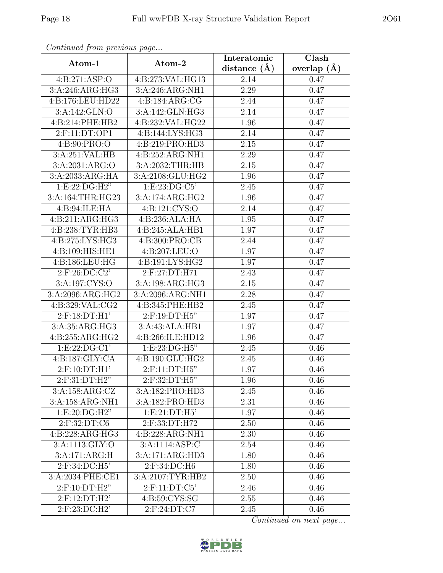| Atom-1                         | Atom-2              | Interatomic      | Clash         |  |
|--------------------------------|---------------------|------------------|---------------|--|
|                                |                     | distance $(\AA)$ | overlap $(A)$ |  |
| 4:B:271:ASP:O                  | 4:B:273:VAL:HG13    | 2.14             | 0.47          |  |
| 3:A:246:ARG:HG3                | 3:A:246:ARG:NH1     | 2.29             | 0.47          |  |
| 4:B:176:LEU:HD22               | 4:B:184:ARG:CG      | 2.44             | 0.47          |  |
| 3:A:142:GLN:O                  | 3:A:142:GLN:HG3     | 2.14             | 0.47          |  |
| 4:B:214:PHE:HB2                | 4:B:232:VAL:HG22    | 1.96             | 0.47          |  |
| 2:F:11:DT:OP1                  | 4: B: 144: LYS: HG3 | 2.14             | 0.47          |  |
| 4:B:90:PRO:O                   | 4:B:219:PRO:HD3     | 2.15             | 0.47          |  |
| 3:A:251:VAL:HB                 | 4:B:252:ARG:NH1     | 2.29             | 0.47          |  |
| 3: A:2031: ARG:O               | 3:A:2032:THR:HB     | 2.15             | 0.47          |  |
| 3:A:2033:ARG:HA                | 3:A:2108:GLU:HG2    | 1.96             | 0.47          |  |
| 1:E:22:DG:H2"                  | 1: E: 23: DG: C5'   | 2.45             | 0.47          |  |
| 3:A:164:THR:HG23               | 3:A:174:ARG:HG2     | 1.96             | 0.47          |  |
| 4:B:94:ILE:HA                  | 4:B:121:CYS:O       | 2.14             | 0.47          |  |
| 4:B:211:ARG:HG3                | 4:B:236:ALA:HA      | 1.95             | 0.47          |  |
| 4:B:238:TYR:HB3                | 4:B:245:ALA:HB1     | 1.97             | 0.47          |  |
| 4:B:275:LYS:HG3                | 4:B:300:PRO:CB      | 2.44             | 0.47          |  |
| 4:B:109:HIS:HE1                | 4:B:207:LEU:O       | 1.97             | 0.47          |  |
| 4:B:186:LEU:HG                 | 4:B:191:LYS:HG2     | 1.97             | 0.47          |  |
| $2:$ F:26:DC:C2'               | 2:F:27:DT:H71       | 2.43             | 0.47          |  |
| 3:A:197:CYS:O                  | 3:A:198:ARG:HG3     | 2.15             | 0.47          |  |
| 3:A:2096:ARG:HG2               | 3:A:2096:ARG:NH1    | 2.28             | 0.47          |  |
| 4:B:329:VAL:CG2                | 4:B:345:PHE:HB2     | 2.45             | 0.47          |  |
| $2:$ F:18:DT: $\overline{H1'}$ | 2:F:19:DT:H5"       | 1.97             | 0.47          |  |
| 3:A:35:ARG:HG3                 | 3:A:43:ALA:HB1      | 1.97             | 0.47          |  |
| 4: B:255: ARG: HG2             | 4:B:266:ILE:HD12    | 1.96             | 0.47          |  |
| 1: E: 22: DG: C1'              | 1:E:23:DG:H5"       | 2.45             | 0.46          |  |
| 4:B:187:GLY:CA                 | 4:B:190:GLU:HG2     | 2.45             | 0.46          |  |
| $2:$ F:10:DT:H1'               | $2:$ F:11:DT:H5"    | 1.97             | 0.46          |  |
| 2:F:31:DT:H2"                  | $2:$ F:32:DT:H5"    | 1.96             | 0.46          |  |
| 3:A:158:ARG:CZ                 | 3:A:182:PRO:HD3     | 2.45             | 0.46          |  |
| 3:A:158:ARG:NH1                | 3:A:182:PRO:HD3     | 2.31             | 0.46          |  |
| 1: E: 20: DG: H2"              | 1:E:21:DT:H5'       | 1.97             | 0.46          |  |
| $2:$ F:32:DT:C6                | 2:F:33:DT:H72       | 2.50             | 0.46          |  |
| 4:B:228:ARG:HG3                | 4:B:228:ARG:NH1     | 2.30             | 0.46          |  |
| 3:A:1113:GLY:O                 | 3: A: 1114: ASP: C  | 2.54             | 0.46          |  |
| 3:A:171:ARG:H                  | 3:A:171:ARG:HD3     | 1.80             | 0.46          |  |
| 2:F:34:DC:H5'                  | 2:F:34:DC:H6        | 1.80             | 0.46          |  |
| 3:A:2034:PHE:CE1               | 3:A:2107:TYR:HB2    | 2.50             | 0.46          |  |
| 2:F:10:DT:H2"                  | 2:F:11:DT:C5'       | 2.46             | 0.46          |  |
| $2:$ F:12:DT:H2'               | 4:B:59:CYS:SG       | 2.55             | 0.46          |  |
| $2: F: 23: D\overline{C:H2'}$  | 2:F:24:DT:C7        | 2.45             | 0.46          |  |

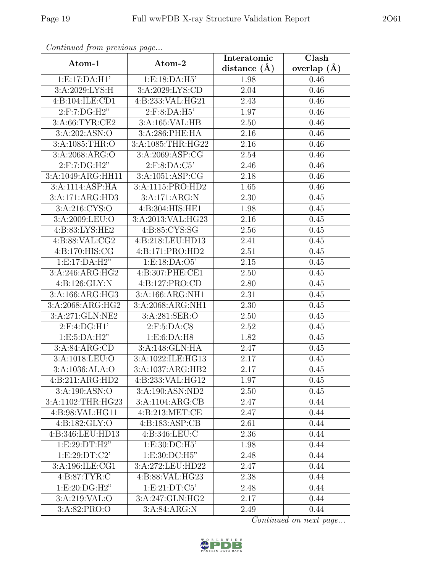| $P^{100}$ $P^{100}$ $P^{100}$ $P^{100}$ $P^{100}$<br>Atom-1 | Atom-2                        | Interatomic      | Clash           |
|-------------------------------------------------------------|-------------------------------|------------------|-----------------|
|                                                             |                               | distance $(\AA)$ | overlap $(\AA)$ |
| 1: E: 17:DA: H1'                                            | 1: E: 18: DA: H5'             | 1.98             | 0.46            |
| 3:A:2029:LYS:H                                              | 3:A:2029:LYS:CD               | 2.04             | 0.46            |
| 4:B:104:ILE:CD1                                             | 4:B:233:VAL:HG21              | 2.43             | 0.46            |
| 2:F:7:DG:H2"                                                | $2:$ F:8:DA:H5'               | 1.97             | 0.46            |
| 3:A:66:TYR:CE2                                              | 3:A:165:VAL:HB                | 2.50             | 0.46            |
| 3:A:202:ASN:O                                               | 3:A:286:PHE:HA                | 2.16             | 0.46            |
| 3:A:1085:THR:O                                              | 3:A:1085:THR:HG22             | 2.16             | 0.46            |
| 3: A:2068: ARG:O                                            | 3:A:2069:ASP:CG               | 2.54             | 0.46            |
| 2: F: 7: DG:H2"                                             | 2: F:8:DA:C5'                 | 2.46             | 0.46            |
| 3:A:1049:ARG:HH11                                           | 3: A:1051: ASP:CG             | 2.18             | 0.46            |
| 3:A:1114:ASP:HA                                             | 3:A:1115:PRO:HD2              | 1.65             | 0.46            |
| 3:A:171:ARG:HD3                                             | 3:A:171:ARG:N                 | 2.30             | 0.45            |
| 3:A:216:CYS:O                                               | 4:B:304:HIS:HE1               | 1.98             | 0.45            |
| 3:A:2009:LEU:O                                              | 3:A:2013:VAL:HG23             | 2.16             | 0.45            |
| 4:B:83:LYS:HE2                                              | 4:B:85:CYS:SG                 | 2.56             | 0.45            |
| 4:B:88:VAL:CG2                                              | 4:B:218:LEU:HD13              | 2.41             | 0.45            |
| 4: B:170: HIS: CG                                           | 4:B:171:PRO:HD2               | 2.51             | 0.45            |
| 1: E: 17: DA: H2"                                           | 1: E: 18: DA: O5'             | 2.15             | 0.45            |
| 3:A:246:ARG:HG2                                             | 4:B:307:PHE:CE1               | 2.50             | 0.45            |
| 4:B:126:GLY:N                                               | 4:B:127:PRO:CD                | 2.80             | 0.45            |
| 3:A:166:ARG:HG3                                             | 3:A:166:ARG:NH1               | 2.31             | 0.45            |
| 3:A:2068:ARG:HG2                                            | 3:A:2068:ARG:NH1              | 2.30             | 0.45            |
| 3:A:271:GLN:NE2                                             | 3:A:281:SER:O                 | 2.50             | 0.45            |
| 2:F:4:DG:H1'                                                | $2:$ F:5:DA:C8                | 2.52             | 0.45            |
| 1: E: 5: DA: H2"                                            | 1:E:6:DA:H8                   | 1.82             | 0.45            |
| 3:A:84:ARG:CD                                               | 3:A:148:GLN:HA                | 2.47             | 0.45            |
| 3:A:1018:LEU:O                                              | 3:A:1022:ILE:HG13             | 2.17             | 0.45            |
| 3:A:1036:ALA:O                                              | 3:A:1037:ARG:HB2              | 2.17             | 0.45            |
| 4:B:211:ARG:HD2                                             | 4:B:233:VAL:HG12              | 1.97             | 0.45            |
| 3:A:190:ASN:O                                               | 3:A:190:ASN:ND2               | 2.50             | 0.45            |
| 3:A:1102:THR:HG23                                           | 3:A:1104:ARG:CB               | 2.47             | 0.44            |
| 4:B:98:VAL:HG11                                             | 4:B:213:MET:CE                | 2.47             | 0.44            |
| 4: B: 182: GLY: O                                           | 4: B: 183: ASP: CB            | 2.61             | 0.44            |
| 4:B:346:LEU:HD13                                            | 4:B:346:LEU:C                 | 2.36             | 0.44            |
| 1: E:29: DT:H2"                                             | 1: E:30: DC: H5'              | 1.98             | 0.44            |
| 1: E: 29: DT: C2'                                           | $1: \overline{E:30:DC:H5"}$   | 2.48             | 0.44            |
| 3:A:196:ILE:CG1                                             | 3:A:272:LEU:HD22              | 2.47             | 0.44            |
| 4: B:87: TYR: C                                             | 4:B:88:VAL:HG23               | 2.38             | 0.44            |
| $1: E:20: \overline{DG:H2"}$                                | $1: E: 21: D\overline{T:C5'}$ | 2.48             | 0.44            |
| 3:A:219:VAL:O                                               | 3:A:247:GLN:HG2               | 2.17             | 0.44            |
| 3:A:82:PRO:O                                                | 3:A:84:ARG:N                  | 2.49             | 0.44            |

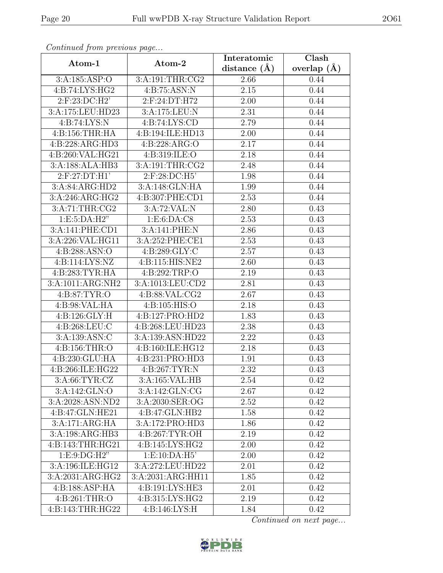| $P$ . The set of $P$ is the set of $P$ and $P$ and $P$ and $P$ and $P$ and $P$ and $P$ and $P$ and $P$ and $P$ and $P$ and $P$ and $P$ and $P$ and $P$ and $P$ and $P$ and $P$ and $P$ and $P$ and $P$ and $P$ and $P$ and $P$ |                   | Interatomic      | $\overline{\text{Clash}}$ |
|--------------------------------------------------------------------------------------------------------------------------------------------------------------------------------------------------------------------------------|-------------------|------------------|---------------------------|
| Atom-1                                                                                                                                                                                                                         | Atom-2            | distance $(\AA)$ | overlap $(A)$             |
| 3:A:185:ASP:O                                                                                                                                                                                                                  | 3:A:191:THR:CG2   | 2.66             | 0.44                      |
| 4:B:74:LYS:HG2                                                                                                                                                                                                                 | 4: B:75: ASN:N    | $2.15\,$         | 0.44                      |
| 2:F:23:DC:H2'                                                                                                                                                                                                                  | 2:F:24:DT:H72     | 2.00             | 0.44                      |
| 3:A:175:LEU:HD23                                                                                                                                                                                                               | 3:A:175:LEU:N     | 2.31             | 0.44                      |
| 4:B:74:LYS:N                                                                                                                                                                                                                   | 4: B:74: LYS: CD  | 2.79             | 0.44                      |
| 4:B:156:THR:HA                                                                                                                                                                                                                 | 4:B:194:ILE:HD13  | 2.00             | 0.44                      |
| 4:B:228:ARG:HD3                                                                                                                                                                                                                | 4:B:228:ARG:O     | 2.17             | 0.44                      |
| 4:B:260:VAL:HG21                                                                                                                                                                                                               | 4:B:319:ILE:O     | 2.18             | 0.44                      |
| 3:A:188:ALA:HB3                                                                                                                                                                                                                | 3:A:191:THR:CG2   | 2.48             | 0.44                      |
| 2: F:27:DT:H1'                                                                                                                                                                                                                 | $2:$ F:28:DC:H5'  | 1.98             | 0.44                      |
| 3:A:84:ARG:HD2                                                                                                                                                                                                                 | 3:A:148:GLN:HA    | 1.99             | 0.44                      |
| 3:A:246:ARG:HG2                                                                                                                                                                                                                | 4:B:307:PHE:CD1   | 2.53             | 0.44                      |
| 3:A:71:THR:CG2                                                                                                                                                                                                                 | 3:A:72:VAL:N      | 2.80             | 0.43                      |
| 1:E:5:DA:H2"                                                                                                                                                                                                                   | 1:E:6:DA:CS       | 2.53             | 0.43                      |
| 3:A:141:PHE:CD1                                                                                                                                                                                                                | 3:A:141:PHE:N     | 2.86             | 0.43                      |
| 3:A:226:VAL:HG11                                                                                                                                                                                                               | 3:A:252:PHE:CE1   | 2.53             | 0.43                      |
| 4:B:288:ASN:O                                                                                                                                                                                                                  | 4:B:289:GLY:C     | $2.57\,$         | 0.43                      |
| 4:B:114:LYS:NZ                                                                                                                                                                                                                 | 4:B:115:HIS:NE2   | 2.60             | 0.43                      |
| 4:B:283:TYR:HA                                                                                                                                                                                                                 | 4:B:292:TRP:O     | 2.19             | 0.43                      |
| 3:A:1011:ARG:NH2                                                                                                                                                                                                               | 3:A:1013:LEU:CD2  | 2.81             | 0.43                      |
| 4: B:87: TYR:O                                                                                                                                                                                                                 | 4:B:88:VAL:CG2    | 2.67             | 0.43                      |
| 4:B:98:VAL:HA                                                                                                                                                                                                                  | 4: B: 105: HIS: O | 2.18             | 0.43                      |
| 4:B:126:GLY:H                                                                                                                                                                                                                  | 4:B:127:PRO:HD2   | 1.83             | 0.43                      |
| 4:B:268:LEU:C                                                                                                                                                                                                                  | 4:B:268:LEU:HD23  | 2.38             | 0.43                      |
| 3:A:139:ASN:C                                                                                                                                                                                                                  | 3:A:139:ASN:HD22  | 2.22             | 0.43                      |
| 4:B:156:THR:O                                                                                                                                                                                                                  | 4:B:160:ILE:HG12  | 2.18             | 0.43                      |
| 4:B:230:GLU:HA                                                                                                                                                                                                                 | 4:B:231:PRO:HD3   | 1.91             | 0.43                      |
| 4:B:266:ILE:HG22                                                                                                                                                                                                               | 4:B:267:TYR:N     | 2.32             | 0.43                      |
| 3: A:66: TYR: CZ                                                                                                                                                                                                               | 3:A:165:VAL:HB    | 2.54             | 0.42                      |
| 3:A:142:GLN:O                                                                                                                                                                                                                  | 3:A:142:GLN:CG    | 2.67             | 0.42                      |
| 3:A:2028:ASN:ND2                                                                                                                                                                                                               | 3:A:2030:SER:OG   | 2.52             | 0.42                      |
| 4:B:47:GLN:HE21                                                                                                                                                                                                                | 4:B:47:GLN:HB2    | 1.58             | 0.42                      |
| 3:A:171:ARG:HA                                                                                                                                                                                                                 | 3:A:172:PRO:HD3   | 1.86             | 0.42                      |
| 3:A:198:ARG:HB3                                                                                                                                                                                                                | 4:B:267:TYR:OH    | 2.19             | 0.42                      |
| 4:B:143:THR:HG21                                                                                                                                                                                                               | 4:B:145:LYS:HG2   | 2.00             | 0.42                      |
| 1:E:9:DG:H2"                                                                                                                                                                                                                   | 1: E: 10: DA: H5' | 2.00             | 0.42                      |
| 3:A:196:ILE:HG12                                                                                                                                                                                                               | 3:A:272:LEU:HD22  | 2.01             | 0.42                      |
| 3:A:2031:ARG:HG2                                                                                                                                                                                                               | 3:A:2031:ARG:HH11 | 1.85             | 0.42                      |
| 4:B:188:ASP:HA                                                                                                                                                                                                                 | 4:B:191:LYS:HE3   | 2.01             | 0.42                      |
| 4:B:261:THR:O                                                                                                                                                                                                                  | 4:B:315:LYS:HG2   | 2.19             | 0.42                      |
| 4:B:143:THR:HG22                                                                                                                                                                                                               | 4:B:146:LYS:H     | 1.84             | 0.42                      |

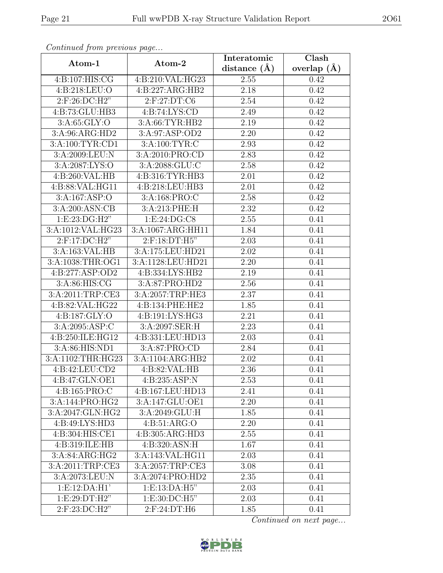| s cheenada ji che pi coecad pagani   |                   | Interatomic      | Clash         |
|--------------------------------------|-------------------|------------------|---------------|
| Atom-1                               | Atom-2            | distance $(\AA)$ | overlap $(A)$ |
| 4:B:107:HIS:CG                       | 4:B:210:VAL:HG23  | 2.55             | 0.42          |
| 4:B:218:LEU:O                        | 4:B:227:ARG:HB2   | 2.18             | 0.42          |
| 2:F:26:DC:H2"                        | 2:F:27:DT:C6      | 2.54             | 0.42          |
| 4:B:73:GLU:HB3                       | 4: B:74: LYS: CD  | 2.49             | 0.42          |
| 3:A:65:GLY:O                         | 3:A:66:TYR:HB2    | 2.19             | 0.42          |
| 3:A:96:ARG:HD2                       | 3:A:97:ASP:OD2    | 2.20             | 0.42          |
| 3:A:100:TYR:CD1                      | 3:A:100:TYR:C     | 2.93             | 0.42          |
| 3:A:2009:LEU:N                       | 3:A:2010:PRO:CD   | 2.83             | 0.42          |
| 3:A:2087:LYS:O                       | 3:A:2088:GLU:C    | 2.58             | 0.42          |
| 4:B:260:VAL:HB                       | 4:B:316:TYR:HB3   | 2.01             | 0.42          |
| 4:B:88:VAL:HG11                      | 4:B:218:LEU:HB3   | 2.01             | 0.42          |
| 3:A:167:ASP:O                        | 3:A:168:PRO:C     | 2.58             | 0.42          |
| 3: A:200: ASN:CB                     | 3:A:213:PHE:H     | 2.32             | 0.42          |
| 1: E: 23: DG: H2"                    | 1:E:24:DG:CS      | $2.55\,$         | 0.41          |
| 3:A:1012:VAL:HG23                    | 3:A:1067:ARG:HH11 | 1.84             | 0.41          |
| 2:F:17:DC:H2"                        | $2:$ F:18:DT:H5"  | 2.03             | 0.41          |
| 3:A:163:VAL:HB                       | 3:A:175:LEU:HD21  | 2.02             | 0.41          |
| 3:A:1038:THR:OG1                     | 3:A:1128:LEU:HD21 | 2.20             | 0.41          |
| 4:B:277:ASP:OD2                      | 4:B:334:LYS:HB2   | 2.19             | 0.41          |
| 3:A:86:HIS:CG                        | 3:A:87:PRO:HD2    | 2.56             | 0.41          |
| $3:A:2011:\overline{\text{TRP:CE3}}$ | 3:A:2057:TRP:HE3  | 2.37             | 0.41          |
| 4:B:82:VAL:HG22                      | 4:B:134:PHE:HE2   | 1.85             | 0.41          |
| 4:B:187:GLY:O                        | 4:B:191:LYS:HG3   | 2.21             | 0.41          |
| 3:A:2095:ASP:C                       | 3:A:2097:SER:H    | 2.23             | 0.41          |
| 4:B:250:ILE:HG12                     | 4:B:331:LEU:HD13  | 2.03             | 0.41          |
| 3:A:86:HIS:ND1                       | 3: A:87: PRO:CD   | 2.84             | 0.41          |
| 3:A:1102:THR:HG23                    | 3:A:1104:ARG:HB2  | 2.02             | 0.41          |
| 4:B:42:LEU:CD2                       | 4:B:82:VAL:HB     | 2.36             | 0.41          |
| 4:B:47:GLN:OE1                       | 4:B:235:ASP:N     | 2.53             | 0.41          |
| 4:B:165:PRO:C                        | 4:B:167:LEU:HD13  | 2.41             | 0.41          |
| 3:A:144:PRO:HG2                      | 3:A:147:GLU:OE1   | 2.20             | 0.41          |
| 3:A:2047:GLN:HG2                     | 3:A:2049:GLU:H    | 1.85             | 0.41          |
| 4:B:49:LYS:HD3                       | 4:Bi:51:ARG:O     | 2.20             | 0.41          |
| 4:B:304:HIS:CE1                      | 4:B:305:ARG:HD3   | 2.55             | 0.41          |
| 4:B:319:ILE:HB                       | 4:B:320:ASN:H     | 1.67             | 0.41          |
| 3:A:84:ARG:HG2                       | 3:A:143:VAL:HG11  | 2.03             | 0.41          |
| 3:A:2011:TRP:CE3                     | 3:A:2057:TRP:CE3  | 3.08             | 0.41          |
| 3:A:2073:LEU:N                       | 3:A:2074:PRO:HD2  | 2.35             | 0.41          |
| 1: E: 12: DA: H1'                    | 1:E:13:DA:H5"     | 2.03             | 0.41          |
| 1: E: 29: DT: H2"                    | 1:E:30:DC:H5"     | 2.03             | 0.41          |
| 2:F:23:DC:H2"                        | 2:F:24:DT:H6      | 1.85             | 0.41          |

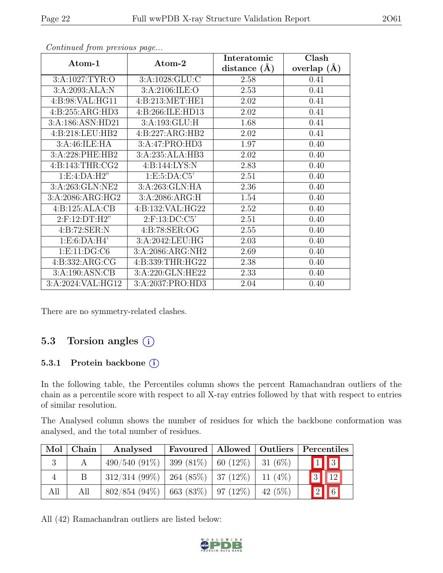|                   |                  | Interatomic       | Clash         |
|-------------------|------------------|-------------------|---------------|
| Atom-1            | Atom-2           | distance $(\AA)$  | overlap $(A)$ |
| 3: A:1027: TYR:O  | 3:A:1028:GLU:C   | 2.58              | 0.41          |
| 3:A:2093:ALA:N    | 3:A:2106:ILE:O   | 2.53              | 0.41          |
| 4:B:98:VAL:HG11   | 4:B:213:MET:HE1  | 2.02              | 0.41          |
| 4:B:255:ARG:HD3   | 4:B:266:ILE:HD13 | 2.02              | 0.41          |
| 3:A:186:ASN:HD21  | 3:A:193:GLU:H    | 1.68              | 0.41          |
| 4: B:218:LEU:HB2  | 4:B:227:ARG:HB2  | 2.02              | 0.41          |
| 3:A:46:ILE:HA     | 3:A:47:PRO:HD3   | 1.97              | 0.40          |
| 3:A:228:PHE:HB2   | 3:A:235:ALA:HB3  | 2.02              | 0.40          |
| 4:B:143:THR:CG2   | 4:B:144:LYS:N    | 2.83              | 0.40          |
| 1: E:4:DA:H2"     | 1:E:5:DA:C5'     | 2.51              | 0.40          |
| 3:A:263:GLN:NE2   | 3:A:263:GLN:HA   | 2.36              | 0.40          |
| 3:A:2086:ARG:HG2  | 3:A:2086:ARG:H   | 1.54              | 0.40          |
| 4:B:125:ALA:CB    | 4:B:132:VAL:HG22 | 2.52              | 0.40          |
| 2:F:12:DT:H2"     | $2:$ F:13:DC:C5' | 2.51              | 0.40          |
| 4:B:72:SER:N      | 4:B:78:SER:OG    | 2.55              | 0.40          |
| 1: E:6:DA:H4'     | 3:A:2042:LEU:HG  | 2.03              | 0.40          |
| 1: E: 11: DG: C6  | 3:A:2086:ARG:NH2 | 2.69              | 0.40          |
| 4:B:332:ARG:CG    | 4:B:339:THR:HG22 | 2.38              | 0.40          |
| 3:A:190:ASN:CB    | 3:A:220:GLN:HE22 | $\overline{2.33}$ | 0.40          |
| 3:A:2024:VAL:HG12 | 3:A:2037:PRO:HD3 | 2.04              | 0.40          |

There are no symmetry-related clashes.

## 5.3 Torsion angles  $(i)$

#### 5.3.1 Protein backbone (i)

In the following table, the Percentiles column shows the percent Ramachandran outliers of the chain as a percentile score with respect to all X-ray entries followed by that with respect to entries of similar resolution.

The Analysed column shows the number of residues for which the backbone conformation was analysed, and the total number of residues.

| Mol | Chain | Analysed                                         | Favoured   Allowed   Outliers |           | Percentiles                        |  |
|-----|-------|--------------------------------------------------|-------------------------------|-----------|------------------------------------|--|
| 3   |       | $490/540 (91\%)$ 399 (81\%) 60 (12\%) 31 (6\%)   |                               |           | $\boxed{1}$ $\boxed{3}$            |  |
|     |       | $312/314$ (99%)   264 (85%)   37 (12%)   11 (4%) |                               |           | 3 <br>$\blacksquare$ 12            |  |
| All | All   | $802/854$ (94\%) 663 (83\%) 97 (12\%)            |                               | 42 $(5%)$ | $\vert\vert\vert_6$<br>$\boxed{2}$ |  |

All (42) Ramachandran outliers are listed below:

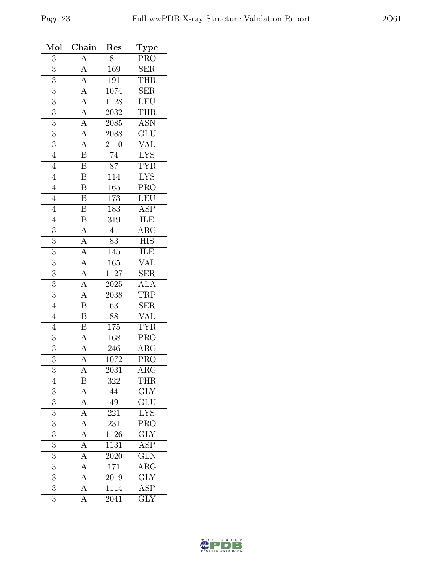| Mol            | Chain                                                                                                                                                                               | Res               | Type                    |
|----------------|-------------------------------------------------------------------------------------------------------------------------------------------------------------------------------------|-------------------|-------------------------|
| 3              | $\frac{\overline{A}}{\overline{A}}$ $\frac{\overline{A}}{\overline{A}}$ $\frac{\overline{A}}{\overline{A}}$ $\frac{\overline{A}}{\overline{A}}$ $\frac{\overline{A}}{\overline{A}}$ | $\overline{81}$   | <b>PRO</b>              |
| $\overline{3}$ |                                                                                                                                                                                     | 169               | SER                     |
| $\overline{3}$ |                                                                                                                                                                                     | 191               | <b>THR</b>              |
| $\overline{3}$ |                                                                                                                                                                                     | 1074              | SER                     |
| $\overline{3}$ |                                                                                                                                                                                     | 1128              | <b>LEU</b>              |
| $\overline{3}$ |                                                                                                                                                                                     | $\overline{2032}$ | <b>THR</b>              |
| $\overline{3}$ |                                                                                                                                                                                     | 2085              | <b>ASN</b>              |
| $\sqrt{3}$     |                                                                                                                                                                                     | 2088              | $\overline{\text{GLU}}$ |
| $\overline{3}$ | $\frac{\overline{A}}{\overline{B}}$                                                                                                                                                 | 2110              | <b>VAL</b>              |
| $\overline{4}$ |                                                                                                                                                                                     | 74                | LYS                     |
| $\overline{4}$ | $\overline{\mathrm{B}}$                                                                                                                                                             | $\overline{87}$   | <b>TYR</b>              |
| $\overline{4}$ | $\overline{\mathbf{B}}$                                                                                                                                                             | 114               | <b>LYS</b>              |
| $\overline{4}$ | $\overline{\mathbf{B}}$                                                                                                                                                             | $\overline{165}$  | $\overline{\text{PRO}}$ |
| $\overline{4}$ | $\overline{B}$                                                                                                                                                                      | 173               | LEU                     |
| $\overline{4}$ | $\overline{\mathrm{B}}$                                                                                                                                                             | $\overline{183}$  | $\overline{\text{ASP}}$ |
| $\overline{4}$ | $\overline{B}$                                                                                                                                                                      | $\overline{319}$  | <b>ILE</b>              |
| 3              | $\overline{A}$                                                                                                                                                                      | 41                | $\overline{\text{ARG}}$ |
| $\overline{3}$ | $\frac{\overline{A}}{\overline{A}}$                                                                                                                                                 | $\overline{83}$   | $\overline{\text{HIS}}$ |
| $\overline{3}$ |                                                                                                                                                                                     | 145               | ILE                     |
| 3              |                                                                                                                                                                                     | 165               | VAL                     |
| $\overline{3}$ |                                                                                                                                                                                     | 1127              | $\overline{\text{SER}}$ |
| 3              |                                                                                                                                                                                     | 2025              | <b>ALA</b>              |
| $\overline{3}$ | $\frac{\overline{A}}{\overline{A}}$ $\frac{\overline{A}}{\overline{A}}$ $\frac{\overline{A}}{\overline{B}}$                                                                         | 2038              | <b>TRP</b>              |
| $\overline{4}$ |                                                                                                                                                                                     | 63                | <b>SER</b>              |
| $\overline{4}$ | $\overline{B}$                                                                                                                                                                      | 88                | <b>VAL</b>              |
| $\overline{4}$ | $\overline{B}$                                                                                                                                                                      | 175               | <b>TYR</b>              |
| 3              | $\overline{A}$                                                                                                                                                                      | 168               | PRO                     |
| $\overline{3}$ | $\frac{1}{A}$                                                                                                                                                                       | 246               | $\overline{\rm{ARG}}$   |
| 3              | $\overline{A}$                                                                                                                                                                      | 1072              | $\overline{\text{PRO}}$ |
| $\overline{3}$ | А                                                                                                                                                                                   | $\overline{20}31$ | $A\overline{RG}$        |
| $\overline{4}$ | $\overline{\mathbf{B}}$                                                                                                                                                             | 322               | <b>THR</b>              |
| 3              | $\overline{A}$                                                                                                                                                                      | 44                | $\overline{GIY}$        |
| $\overline{3}$ | $\overline{A}$                                                                                                                                                                      | 49                | $\overline{\text{GLU}}$ |
| $\overline{3}$ | $\overline{A}$                                                                                                                                                                      | 221               | $\overline{\text{LYS}}$ |
| $\overline{3}$ | $\overline{A}$                                                                                                                                                                      | 231               | $\overline{\text{PRO}}$ |
| 3              | $\overline{A}$                                                                                                                                                                      | 1126              | $\overline{\text{GLY}}$ |
| 3              | $\overline{A}$                                                                                                                                                                      | $\overline{11}31$ | <b>ASP</b>              |
| $\overline{3}$ | $\overline{A}$                                                                                                                                                                      | 2020              | $\overline{\text{GLN}}$ |
| $\overline{3}$ | $\overline{A}$                                                                                                                                                                      | 171               | ARG                     |
| $\overline{3}$ | $\overline{A}$                                                                                                                                                                      | 2019              | $\overline{\text{GLY}}$ |
| 3              | $\overline{A}$                                                                                                                                                                      | 1114              | <b>ASP</b>              |
| $\overline{3}$ | $\overline{A}$                                                                                                                                                                      | $\overline{2041}$ | $\overline{\text{GLY}}$ |

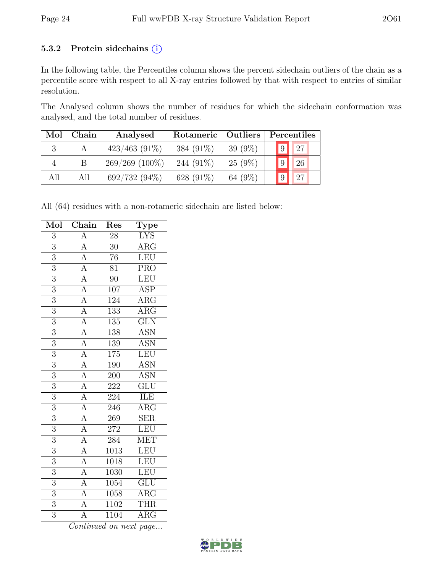#### 5.3.2 Protein sidechains (i)

In the following table, the Percentiles column shows the percent sidechain outliers of the chain as a percentile score with respect to all X-ray entries followed by that with respect to entries of similar resolution.

The Analysed column shows the number of residues for which the sidechain conformation was analysed, and the total number of residues.

| Mol | Chain | Analysed         | Rotameric   Outliers |            |               | Percentiles      |
|-----|-------|------------------|----------------------|------------|---------------|------------------|
|     |       | $423/463$ (91\%) | 384 $(91\%)$         | 39 $(9\%)$ | $\sqrt{9}$    | 127 <sub>1</sub> |
|     | B     | 269/269 (100%)   | 244 $(91\%)$         | $25(9\%)$  |               | 26               |
| All | All   | $692/732(94\%)$  | 628 $(91\%)$         | 64 $(9\%)$ | $\mathbf{19}$ | $\sqrt{27}$      |

All (64) residues with a non-rotameric sidechain are listed below:

| Mol            | Chain                                                                                                                                                                                                                                                                                                                                                                                                                                                                  | Res               | Type                    |
|----------------|------------------------------------------------------------------------------------------------------------------------------------------------------------------------------------------------------------------------------------------------------------------------------------------------------------------------------------------------------------------------------------------------------------------------------------------------------------------------|-------------------|-------------------------|
| 3              | $\overline{A}$                                                                                                                                                                                                                                                                                                                                                                                                                                                         | 28                | <b>LYS</b>              |
| $\overline{3}$ |                                                                                                                                                                                                                                                                                                                                                                                                                                                                        | $\overline{30}$   | $\overline{\rm{ARG}}$   |
| $\overline{3}$ |                                                                                                                                                                                                                                                                                                                                                                                                                                                                        | 76                | LEU                     |
| $\overline{3}$ |                                                                                                                                                                                                                                                                                                                                                                                                                                                                        | $\overline{81}$   | $\overline{\text{PRO}}$ |
| $\overline{3}$ |                                                                                                                                                                                                                                                                                                                                                                                                                                                                        | $\overline{90}$   | LEU                     |
| $\overline{3}$ |                                                                                                                                                                                                                                                                                                                                                                                                                                                                        | 107               | <b>ASP</b>              |
| $\overline{3}$ |                                                                                                                                                                                                                                                                                                                                                                                                                                                                        | 124               | $\overline{\text{ARG}}$ |
| $\overline{3}$ |                                                                                                                                                                                                                                                                                                                                                                                                                                                                        | 133               | $\overline{\rm{ARG}}$   |
| $\overline{3}$ |                                                                                                                                                                                                                                                                                                                                                                                                                                                                        | 135               | $\overline{\text{GLN}}$ |
| $\overline{3}$ |                                                                                                                                                                                                                                                                                                                                                                                                                                                                        | 138               | <b>ASN</b>              |
| $\overline{3}$ |                                                                                                                                                                                                                                                                                                                                                                                                                                                                        | 139               | <b>ASN</b>              |
| $\overline{3}$ |                                                                                                                                                                                                                                                                                                                                                                                                                                                                        | $\overline{175}$  | LEU                     |
| $\overline{3}$ |                                                                                                                                                                                                                                                                                                                                                                                                                                                                        | 190               | <b>ASN</b>              |
| $\overline{3}$ |                                                                                                                                                                                                                                                                                                                                                                                                                                                                        | $\overline{200}$  | <b>ASN</b>              |
| $\overline{3}$ |                                                                                                                                                                                                                                                                                                                                                                                                                                                                        | 222               | GLU                     |
| $\overline{3}$ |                                                                                                                                                                                                                                                                                                                                                                                                                                                                        | 224               | <b>ILE</b>              |
| $\overline{3}$ |                                                                                                                                                                                                                                                                                                                                                                                                                                                                        | 246               | $\overline{\rm{ARG}}$   |
| $\overline{3}$ |                                                                                                                                                                                                                                                                                                                                                                                                                                                                        | 269               | <b>SER</b>              |
| $\overline{3}$ |                                                                                                                                                                                                                                                                                                                                                                                                                                                                        | $\overline{272}$  | LEU                     |
| $\overline{3}$ |                                                                                                                                                                                                                                                                                                                                                                                                                                                                        | 284               | <b>MET</b>              |
| $\overline{3}$ | $\frac{\frac{1}{\mathbf{A}} \cdot \mathbf{A}}{\mathbf{A}} \cdot \frac{\mathbf{A}}{\mathbf{A}} \cdot \mathbf{A}}{\mathbf{A}} \cdot \frac{\mathbf{A}}{\mathbf{A}} \cdot \mathbf{A}}{\mathbf{A}} \cdot \frac{\mathbf{A}}{\mathbf{A}} \cdot \mathbf{A}}{\mathbf{A}} \cdot \frac{\mathbf{A}}{\mathbf{A}} \cdot \mathbf{A}}{\mathbf{A}} \cdot \frac{\mathbf{A}}{\mathbf{A}} \cdot \mathbf{A}}{\mathbf{A}} \cdot \frac{\mathbf{A}}{\mathbf{A}} \cdot \mathbf{A}}{\mathbf{A}}$ | 1013              | LEU                     |
| $\overline{3}$ |                                                                                                                                                                                                                                                                                                                                                                                                                                                                        | 1018              | LEU                     |
| $\overline{3}$ |                                                                                                                                                                                                                                                                                                                                                                                                                                                                        | 1030              | LEU                     |
| $\overline{3}$ |                                                                                                                                                                                                                                                                                                                                                                                                                                                                        | 1054              | $\overline{\text{GLU}}$ |
| $\overline{3}$ |                                                                                                                                                                                                                                                                                                                                                                                                                                                                        | 1058              | $\overline{\text{ARG}}$ |
| $\overline{3}$ |                                                                                                                                                                                                                                                                                                                                                                                                                                                                        | 1102              | <b>THR</b>              |
| $\overline{3}$ |                                                                                                                                                                                                                                                                                                                                                                                                                                                                        | $\overline{1104}$ | <b>ARG</b>              |

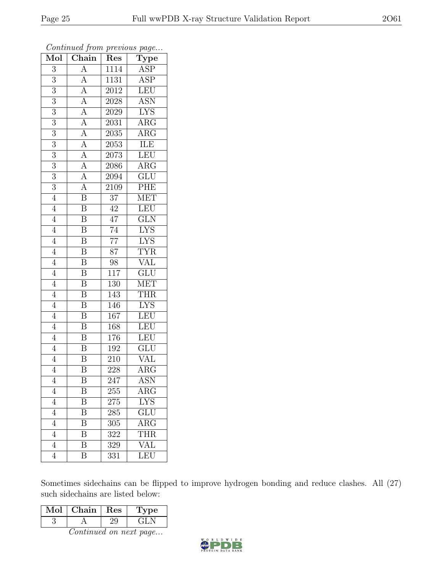| Mol              | $\overline{v}$<br>Chain                                                    | x.<br>Res         | x.<br>$\overline{v}$<br>$\mathrm{Type}$ |
|------------------|----------------------------------------------------------------------------|-------------------|-----------------------------------------|
| 3                | $\overline{A}$                                                             | 1114              | ASP                                     |
| 3                | $\overline{A}$                                                             | 1131              | <b>ASP</b>                              |
| $\overline{3}$   |                                                                            | $201\overline{2}$ | LEU                                     |
| $\overline{3}$   |                                                                            | 2028              | <b>ASN</b>                              |
| $\overline{3}$   |                                                                            | 2029              | <b>LYS</b>                              |
| 3                | $\frac{\overline{A}}{\overline{A}}$<br>$\frac{\overline{A}}{\overline{A}}$ | 2031              | $\overline{\text{ARG}}$                 |
| $\boldsymbol{3}$ | $\overline{A}$                                                             | $2035\,$          | $\overline{\text{A}}\text{RG}$          |
| $\overline{3}$   |                                                                            | $2053\,$          | ILE                                     |
| $\overline{3}$   | $\frac{\overline{A}}{\overline{A}}$<br>$\frac{\overline{A}}{\overline{A}}$ | 2073              | LEU                                     |
| $\overline{3}$   |                                                                            | 2086              | $\overline{\rm{ARG}}$                   |
| $\overline{3}$   |                                                                            | 2094              | $\overline{\text{GLU}}$                 |
| $\overline{3}$   |                                                                            | 2109              | PHE                                     |
| $\overline{4}$   | $\overline{\mathbf{B}}$                                                    | 37                | <b>MET</b>                              |
| $\overline{4}$   | $\overline{\mathbf{B}}$                                                    | 42                | LEU                                     |
| $\overline{4}$   | $\overline{\mathbf{B}}$                                                    | 47                | $\overline{\text{GLN}}$                 |
| $\overline{4}$   | $\boldsymbol{\mathrm{B}}$                                                  | $\overline{74}$   | <b>LYS</b>                              |
| $\overline{4}$   | $\overline{\mathbf{B}}$                                                    | $\overline{77}$   | <b>LYS</b>                              |
| $\overline{4}$   | $\boldsymbol{\mathrm{B}}$                                                  | $\overline{87}$   | <b>TYR</b>                              |
| $\overline{4}$   | $\overline{\mathrm{B}}$                                                    | $\overline{98}$   | <b>VAL</b>                              |
| $\overline{4}$   | $\overline{\mathbf{B}}$                                                    | 117               | $\overline{\text{GLU}}$                 |
| $\overline{4}$   | $\overline{\mathrm{B}}$                                                    | 130               | <b>MET</b>                              |
| $\overline{4}$   | $\overline{\mathrm{B}}$                                                    | 143               | <b>THR</b>                              |
| $\overline{4}$   | $\boldsymbol{B}$                                                           | 146               | <b>LYS</b>                              |
| $\overline{4}$   | $\overline{\mathrm{B}}$                                                    | 167               | LEU                                     |
| $\overline{4}$   | $\overline{\mathbf{B}}$                                                    | 168               | LEU                                     |
| $\sqrt{4}$       | $\overline{\mathbf{B}}$                                                    | 176               | LEU                                     |
| $\overline{4}$   | $\overline{\mathbf{B}}$                                                    | 192               | $\overline{\text{GLU}}$                 |
| $\overline{4}$   | $\overline{\mathrm{B}}$                                                    | 210               | <b>VAL</b>                              |
| $\overline{4}$   | $\overline{\mathrm{B}}$                                                    | 228               | $\overline{\rm{ARG}}$                   |
| 4                | Β                                                                          | 247               | ASN                                     |
| $\overline{4}$   | B                                                                          | 255               | ARG                                     |
| $\overline{4}$   | $\overline{\mathrm{B}}$                                                    | 275               | <b>LYS</b>                              |
| $\overline{4}$   | B                                                                          | 285               | $\overline{\text{GLU}}$                 |
| $\overline{4}$   | $\overline{\mathrm{B}}$                                                    | 305               | $\overline{\rm{ARG}}$                   |
| $\overline{4}$   | B                                                                          | 322               | THR                                     |
| $\overline{4}$   | $\overline{\mathrm{B}}$                                                    | $\overline{3}29$  | $\overline{\text{VAL}}$                 |
| $\overline{4}$   | Β                                                                          | 331               | LEU                                     |

Sometimes sidechains can be flipped to improve hydrogen bonding and reduce clashes. All (27) such sidechains are listed below:

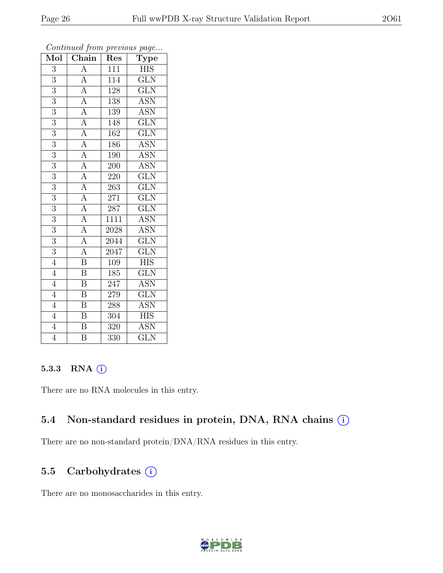| Mol            | . <i>.</i><br>Chain                                                        | $\mathbf{r}$<br>Res | $r - 3$<br>${\rm \bf Type}$ |
|----------------|----------------------------------------------------------------------------|---------------------|-----------------------------|
| $\overline{3}$ | $\frac{A}{A}$                                                              | $\overline{111}$    | <b>HIS</b>                  |
| 3              |                                                                            | 114                 | $\overline{\text{GLN}}$     |
| $\overline{3}$ | $\overline{A}$                                                             | 128                 | $\overline{\text{GLN}}$     |
| 3              | $\frac{\overline{A}}{\overline{A}}$                                        | 138                 | <b>ASN</b>                  |
| $\overline{3}$ |                                                                            | $\overline{139}$    | $\overline{\mathrm{ASN}}$   |
| 3              |                                                                            | 148                 | $\overline{\text{GLN}}$     |
| 3              | $\overline{A}$                                                             | 162                 | $\overline{\text{GLN}}$     |
| 3              | $\frac{\overline{A}}{\overline{A}}$ $\frac{\overline{A}}{\overline{A}}$    | 186                 | <b>ASN</b>                  |
| $\overline{3}$ |                                                                            | 190                 | <b>ASN</b>                  |
| $\overline{3}$ |                                                                            | $\overline{200}$    | <b>ASN</b>                  |
| 3              |                                                                            | 220                 | $\overline{\text{GLN}}$     |
| $\overline{3}$ |                                                                            | $\overline{263}$    | $\overline{\text{GLN}}$     |
| $\overline{3}$ | $\frac{\overline{A}}{\overline{A}}$                                        | 271                 | $\overline{\text{GLN}}$     |
| 3              |                                                                            | 287                 | $\overline{\text{GLN}}$     |
| $\overline{3}$ | $\frac{\overline{A}}{\overline{A}}$<br>$\frac{\overline{A}}{\overline{A}}$ | $\overline{1111}$   | <b>ASN</b>                  |
| 3              |                                                                            | 2028                | ĀSN                         |
| $\overline{3}$ |                                                                            | 2044                | $\overline{\text{GLN}}$     |
| 3              |                                                                            | 2047                | $\overline{\text{GLN}}$     |
| $\overline{4}$ | $\overline{\mathrm{B}}$                                                    | 109                 | <b>HIS</b>                  |
| $\overline{4}$ | $\overline{\mathbf{B}}$                                                    | 185                 | $\overline{\text{GLN}}$     |
| $\overline{4}$ | $\overline{\text{B}}$                                                      | 247                 | <b>ASN</b>                  |
| $\overline{4}$ | $\overline{\mathrm{B}}$                                                    | 279                 | $\overline{\text{GLN}}$     |
| $\overline{4}$ | $\boldsymbol{B}$                                                           | 288                 | <b>ASN</b>                  |
| $\overline{4}$ | $\overline{\mathrm{B}}$                                                    | $304\,$             | $\overline{HIS}$            |
| $\overline{4}$ | $\overline{\mathbf{B}}$                                                    | 320                 | ASN                         |
| $\overline{4}$ | $\overline{\mathrm{B}}$                                                    | 330                 | $\overline{\text{GLN}}$     |

#### 5.3.3 RNA  $(i)$

There are no RNA molecules in this entry.

#### 5.4 Non-standard residues in protein, DNA, RNA chains  $(i)$

There are no non-standard protein/DNA/RNA residues in this entry.

## 5.5 Carbohydrates (i)

There are no monosaccharides in this entry.

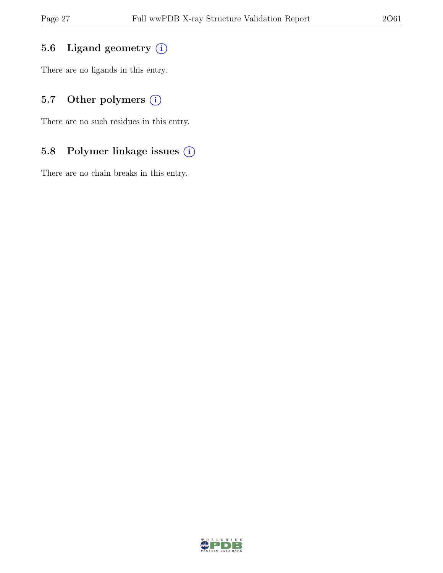## 5.6 Ligand geometry  $(i)$

There are no ligands in this entry.

## 5.7 Other polymers (i)

There are no such residues in this entry.

## 5.8 Polymer linkage issues (i)

There are no chain breaks in this entry.

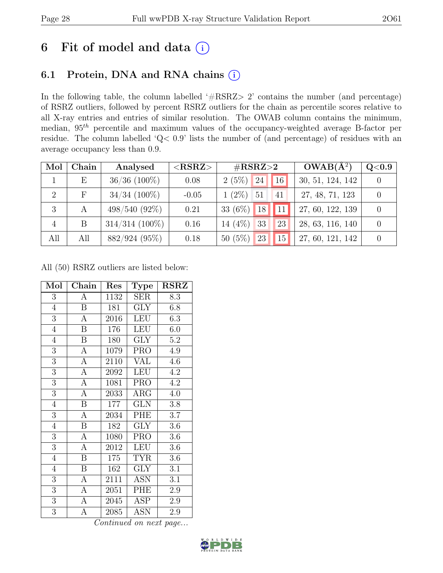# 6 Fit of model and data  $(i)$

## 6.1 Protein, DNA and RNA chains (i)

In the following table, the column labelled ' $\#\text{RSRZ}>2$ ' contains the number (and percentage) of RSRZ outliers, followed by percent RSRZ outliers for the chain as percentile scores relative to all X-ray entries and entries of similar resolution. The OWAB column contains the minimum, median,  $95<sup>th</sup>$  percentile and maximum values of the occupancy-weighted average B-factor per residue. The column labelled 'Q< 0.9' lists the number of (and percentage) of residues with an average occupancy less than 0.9.

| Mol            | Chain      | Analysed         | $<$ RSRZ $>$ | $\#\text{RSRZ}\text{>2}$ |               | $OWAB(A^2)$      | Q <sub>0.9</sub> |
|----------------|------------|------------------|--------------|--------------------------|---------------|------------------|------------------|
|                | Е          | $36/36$ (100%)   | 0.08         | 2(5%)<br>24              | 16            | 30, 51, 124, 142 |                  |
| 2              | $_{\rm F}$ | $34/34$ (100%)   | $-0.05$      | $(2\%)$<br>51<br>41      |               | 27, 48, 71, 123  |                  |
| 3              | А          | $498/540(92\%)$  | 0.21         | 33 $(6\%)$<br>18         | <sup>11</sup> | 27, 60, 122, 139 |                  |
| $\overline{4}$ | B          | $314/314$ (100%) | 0.16         | 14 $(4%)$<br>33          | 23            | 28, 63, 116, 140 |                  |
| All            | All        | 882/924 (95%)    | 0.18         | 50(5%)<br>23             | 15            | 27, 60, 121, 142 |                  |

All (50) RSRZ outliers are listed below:

| Mol              | Chain                   | Res            | <b>Type</b> | <b>RSRZ</b> |
|------------------|-------------------------|----------------|-------------|-------------|
| 3                | A                       | 1132           | SER         | 8.3         |
| $\overline{4}$   | $\overline{B}$          | 181            | <b>GLY</b>  | 6.8         |
| $\overline{3}$   | $\boldsymbol{A}$        | 2016           | <b>LEU</b>  | 6.3         |
| $\overline{4}$   | $\boldsymbol{B}$        | 176            | LEU         | 6.0         |
| $\overline{4}$   | B                       | 180            | <b>GLY</b>  | 5.2         |
| 3                | $\boldsymbol{A}$        | 1079           | <b>PRO</b>  | 4.9         |
| $\mathfrak{Z}$   | $\boldsymbol{A}$        | 2110           | <b>VAL</b>  | 4.6         |
| $\overline{3}$   | $\overline{A}$          | 2092           | <b>LEU</b>  | 4.2         |
| $\overline{3}$   | $\boldsymbol{A}$        | 1081           | <b>PRO</b>  | 4.2         |
| $\overline{3}$   | $\overline{A}$          | 2033           | $\rm{ARG}$  | 4.0         |
| $\overline{4}$   | $\boldsymbol{B}$        | 177            | <b>GLN</b>  | 3.8         |
| $\overline{3}$   | $\overline{\rm A}$      | 2034           | PHE         | 3.7         |
| $\overline{4}$   | $\overline{B}$          | 182            | <b>GLY</b>  | 3.6         |
| 3                | А                       | 1080           | <b>PRO</b>  | 3.6         |
| $\overline{3}$   | $\overline{A}$          | 2012           | LEU         | 3.6         |
| $\overline{4}$   | $\boldsymbol{B}$        | <sup>175</sup> | <b>TYR</b>  | 3.6         |
| $\overline{4}$   | $\overline{\mathrm{B}}$ | 162            | <b>GLY</b>  | 3.1         |
| 3                | $\boldsymbol{A}$        | 2111           | ASN         | 3.1         |
| 3                | $\boldsymbol{A}$        | 2051           | PHE         | $2.9\,$     |
| $\boldsymbol{3}$ | $\overline{A}$          | 2045           | <b>ASP</b>  | $2.9\,$     |
| 3                | А                       | 2085           | <b>ASN</b>  | $2.9\,$     |

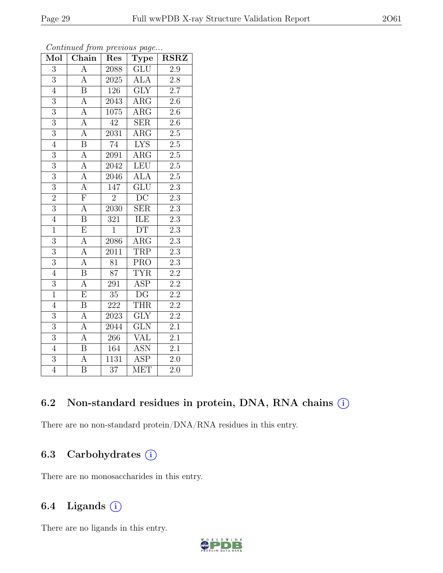| Mol            | Chain                   | Res               | Type                      | <b>RSRZ</b>      |
|----------------|-------------------------|-------------------|---------------------------|------------------|
| 3              | $\overline{A}$          | 2088              | $\overline{\text{GLU}}$   | 2.9              |
| $\overline{3}$ | $\overline{A}$          | 2025              | <b>ALA</b>                | 2.8              |
| $\overline{4}$ | $\overline{\mathrm{B}}$ | 126               | $\overline{\text{GLY}}$   | $\overline{2.7}$ |
| $\overline{3}$ | $\overline{\rm A}$      | 2043              | $\rm{ARG}$                | 2.6              |
| $\overline{3}$ | $\overline{\rm A}$      | 1075              | $\overline{\rm{ARG}}$     | $\overline{2.6}$ |
| $\overline{3}$ | $\overline{A}$          | 42                | <b>SER</b>                | $\overline{2.6}$ |
| $\overline{3}$ | $\overline{\rm A}$      | 2031              | $\rm{ARG}$                | 2.5              |
| $\overline{4}$ | $\overline{\mathrm{B}}$ | 74                | $\overline{\text{LYS}}$   | $\overline{2.5}$ |
| $\overline{3}$ | $\overline{\rm A}$      | 2091              | $\overline{\text{ARG}}$   | $2.5\,$          |
| $\overline{3}$ | $\overline{A}$          | 2042              | <b>LEU</b>                | $\overline{2.5}$ |
| $\overline{3}$ | $\overline{\rm A}$      | 2046              | $\overline{ALA}$          | $\overline{2.5}$ |
| $\overline{3}$ | $\overline{\rm A}$      | 147               | $\overline{\mathrm{GLU}}$ | $\overline{2.3}$ |
| $\overline{2}$ | $\overline{\mathrm{F}}$ | $\overline{2}$    | $\overline{\text{DC}}$    | $\overline{2.3}$ |
| $\overline{3}$ | $\overline{\rm A}$      | 2030              | <b>SER</b>                | $\overline{2.3}$ |
| $\overline{4}$ | $\overline{\mathrm{B}}$ | $\overline{321}$  | ILE                       | $\overline{2.3}$ |
| $\mathbf{1}$   | $\overline{\mathrm{E}}$ | $\mathbf 1$       | DT                        | $\overline{2.3}$ |
| $\overline{3}$ | $\overline{A}$          | $208\overline{6}$ | $\overline{\rm{ARG}}$     | $\overline{2.3}$ |
| $\overline{3}$ | $\overline{\rm A}$      | 2011              | TRP                       | $\overline{2.3}$ |
| $\overline{3}$ | $\overline{A}$          | 81                | PRO                       | 2.3              |
| $\overline{4}$ | $\overline{\mathrm{B}}$ | $\overline{87}$   | <b>TYR</b>                | $\overline{2.2}$ |
| $\overline{3}$ | $\overline{\rm A}$      | 291               | <b>ASP</b>                | $2.2\,$          |
| $\overline{1}$ | $\overline{\mathrm{E}}$ | $\overline{35}$   | $\overline{\mathrm{DG}}$  | $\overline{2.2}$ |
| $\overline{4}$ | $\boldsymbol{B}$        | 222               | <b>THR</b>                | 2.2              |
| $\overline{3}$ | $\overline{\rm A}$      | $20\overline{23}$ | $\overline{\text{GLY}}$   | $\overline{2.2}$ |
| $\overline{3}$ | $\overline{A}$          | 2044              | <b>GLN</b>                | 2.1              |
| $\overline{3}$ | $\overline{A}$          | 266               | VAL                       | 2.1              |
| $\overline{4}$ | B                       | 164               | <b>ASN</b>                | 2.1              |
| $\overline{3}$ | $\overline{\rm A}$      | 1131              | <b>ASP</b>                | $2.0\,$          |
| $\overline{4}$ | $\overline{\mathrm{B}}$ | $\overline{37}$   | <b>MET</b>                | 2.0              |

Continued from previous page...

# 6.2 Non-standard residues in protein, DNA, RNA chains  $(i)$

There are no non-standard protein/DNA/RNA residues in this entry.

## 6.3 Carbohydrates (i)

There are no monosaccharides in this entry.

## 6.4 Ligands  $(i)$

There are no ligands in this entry.